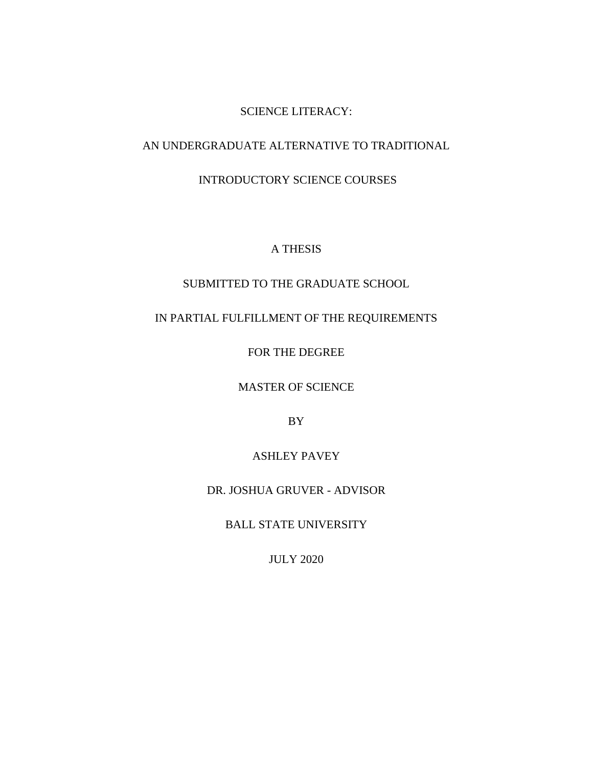### SCIENCE LITERACY:

### AN UNDERGRADUATE ALTERNATIVE TO TRADITIONAL

### INTRODUCTORY SCIENCE COURSES

### A THESIS

### SUBMITTED TO THE GRADUATE SCHOOL

### IN PARTIAL FULFILLMENT OF THE REQUIREMENTS

FOR THE DEGREE

MASTER OF SCIENCE

BY

### ASHLEY PAVEY

### DR. JOSHUA GRUVER - ADVISOR

BALL STATE UNIVERSITY

JULY 2020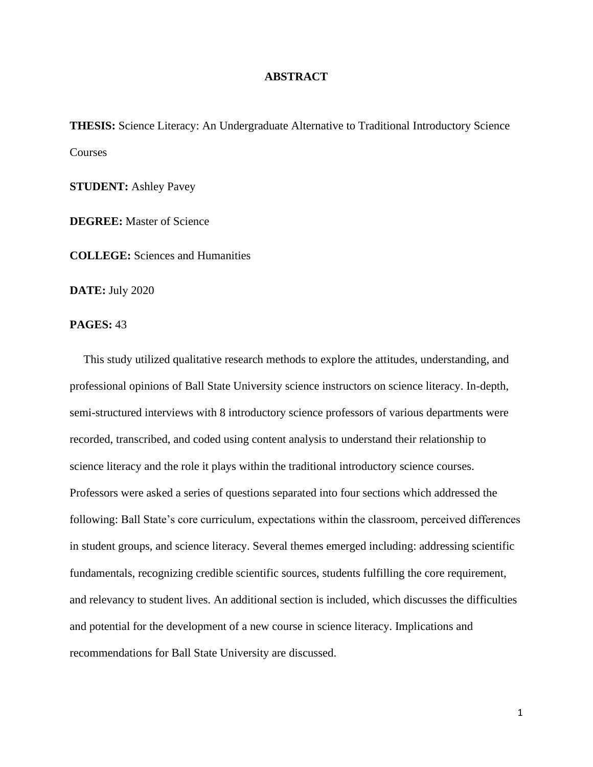### **ABSTRACT**

<span id="page-1-0"></span>**THESIS:** Science Literacy: An Undergraduate Alternative to Traditional Introductory Science **Courses** 

**STUDENT:** Ashley Pavey

**DEGREE:** Master of Science

**COLLEGE:** Sciences and Humanities

**DATE:** July 2020

**PAGES:** 43

This study utilized qualitative research methods to explore the attitudes, understanding, and professional opinions of Ball State University science instructors on science literacy. In-depth, semi-structured interviews with 8 introductory science professors of various departments were recorded, transcribed, and coded using content analysis to understand their relationship to science literacy and the role it plays within the traditional introductory science courses. Professors were asked a series of questions separated into four sections which addressed the following: Ball State's core curriculum, expectations within the classroom, perceived differences in student groups, and science literacy. Several themes emerged including: addressing scientific fundamentals, recognizing credible scientific sources, students fulfilling the core requirement, and relevancy to student lives. An additional section is included, which discusses the difficulties and potential for the development of a new course in science literacy. Implications and recommendations for Ball State University are discussed.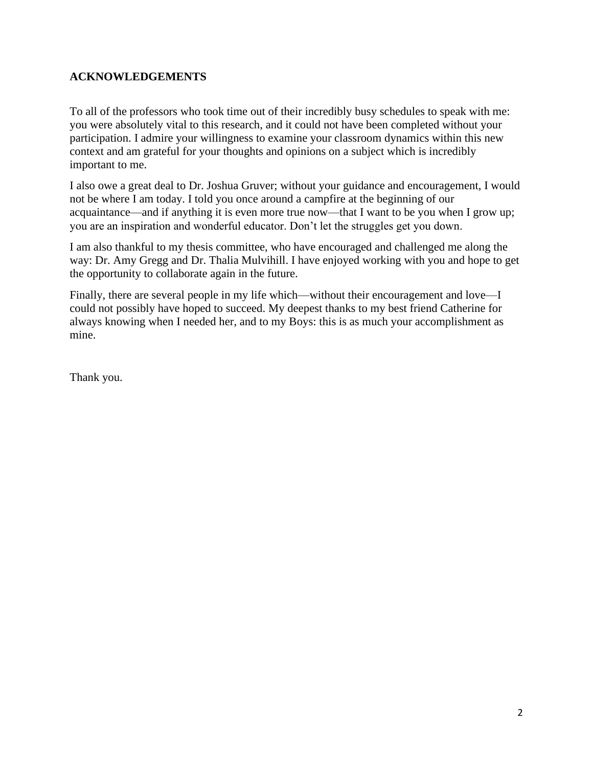### **ACKNOWLEDGEMENTS**

To all of the professors who took time out of their incredibly busy schedules to speak with me: you were absolutely vital to this research, and it could not have been completed without your participation. I admire your willingness to examine your classroom dynamics within this new context and am grateful for your thoughts and opinions on a subject which is incredibly important to me.

I also owe a great deal to Dr. Joshua Gruver; without your guidance and encouragement, I would not be where I am today. I told you once around a campfire at the beginning of our acquaintance—and if anything it is even more true now—that I want to be you when I grow up; you are an inspiration and wonderful educator. Don't let the struggles get you down.

I am also thankful to my thesis committee, who have encouraged and challenged me along the way: Dr. Amy Gregg and Dr. Thalia Mulvihill. I have enjoyed working with you and hope to get the opportunity to collaborate again in the future.

Finally, there are several people in my life which—without their encouragement and love—I could not possibly have hoped to succeed. My deepest thanks to my best friend Catherine for always knowing when I needed her, and to my Boys: this is as much your accomplishment as mine.

Thank you.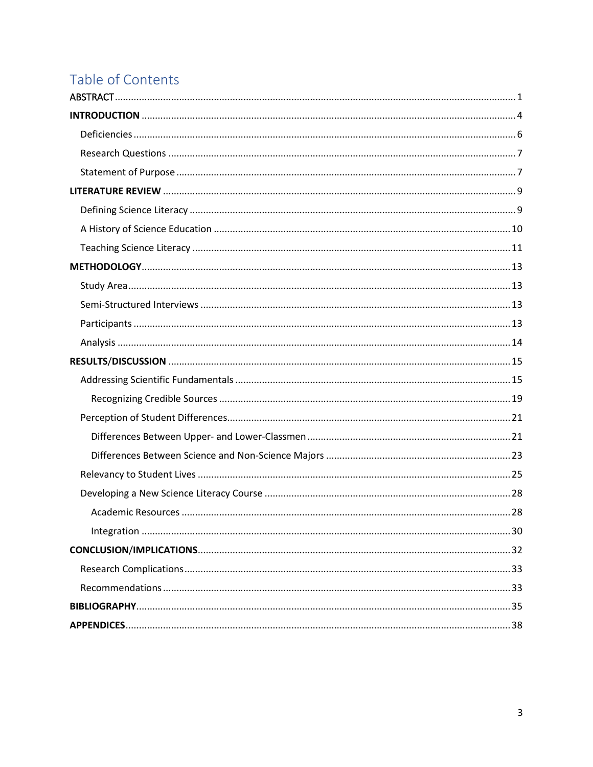# Table of Contents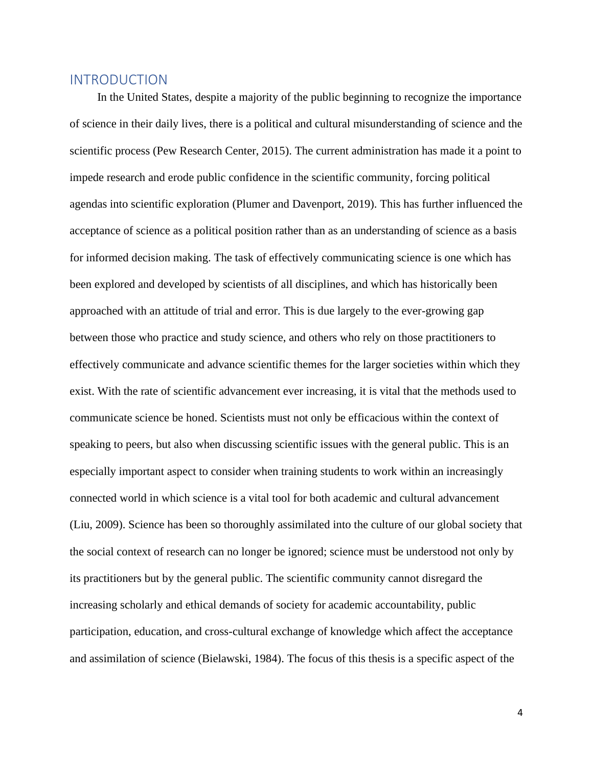### <span id="page-4-0"></span>INTRODUCTION

 In the United States, despite a majority of the public beginning to recognize the importance of science in their daily lives, there is a political and cultural misunderstanding of science and the scientific process (Pew Research Center, 2015). The current administration has made it a point to impede research and erode public confidence in the scientific community, forcing political agendas into scientific exploration (Plumer and Davenport, 2019). This has further influenced the acceptance of science as a political position rather than as an understanding of science as a basis for informed decision making. The task of effectively communicating science is one which has been explored and developed by scientists of all disciplines, and which has historically been approached with an attitude of trial and error. This is due largely to the ever-growing gap between those who practice and study science, and others who rely on those practitioners to effectively communicate and advance scientific themes for the larger societies within which they exist. With the rate of scientific advancement ever increasing, it is vital that the methods used to communicate science be honed. Scientists must not only be efficacious within the context of speaking to peers, but also when discussing scientific issues with the general public. This is an especially important aspect to consider when training students to work within an increasingly connected world in which science is a vital tool for both academic and cultural advancement (Liu, 2009). Science has been so thoroughly assimilated into the culture of our global society that the social context of research can no longer be ignored; science must be understood not only by its practitioners but by the general public. The scientific community cannot disregard the increasing scholarly and ethical demands of society for academic accountability, public participation, education, and cross-cultural exchange of knowledge which affect the acceptance and assimilation of science (Bielawski, 1984). The focus of this thesis is a specific aspect of the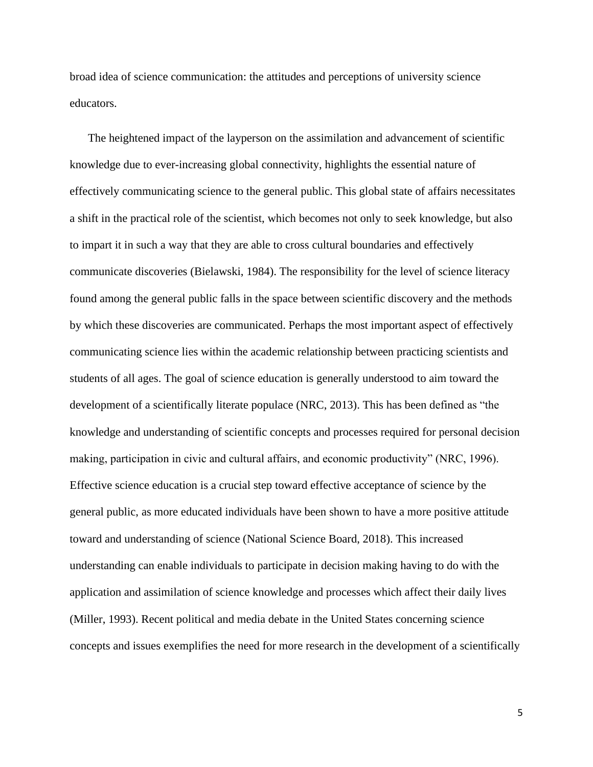broad idea of science communication: the attitudes and perceptions of university science educators.

The heightened impact of the layperson on the assimilation and advancement of scientific knowledge due to ever-increasing global connectivity, highlights the essential nature of effectively communicating science to the general public. This global state of affairs necessitates a shift in the practical role of the scientist, which becomes not only to seek knowledge, but also to impart it in such a way that they are able to cross cultural boundaries and effectively communicate discoveries (Bielawski, 1984). The responsibility for the level of science literacy found among the general public falls in the space between scientific discovery and the methods by which these discoveries are communicated. Perhaps the most important aspect of effectively communicating science lies within the academic relationship between practicing scientists and students of all ages. The goal of science education is generally understood to aim toward the development of a scientifically literate populace (NRC, 2013). This has been defined as "the knowledge and understanding of scientific concepts and processes required for personal decision making, participation in civic and cultural affairs, and economic productivity" (NRC, 1996). Effective science education is a crucial step toward effective acceptance of science by the general public, as more educated individuals have been shown to have a more positive attitude toward and understanding of science (National Science Board, 2018). This increased understanding can enable individuals to participate in decision making having to do with the application and assimilation of science knowledge and processes which affect their daily lives (Miller, 1993). Recent political and media debate in the United States concerning science concepts and issues exemplifies the need for more research in the development of a scientifically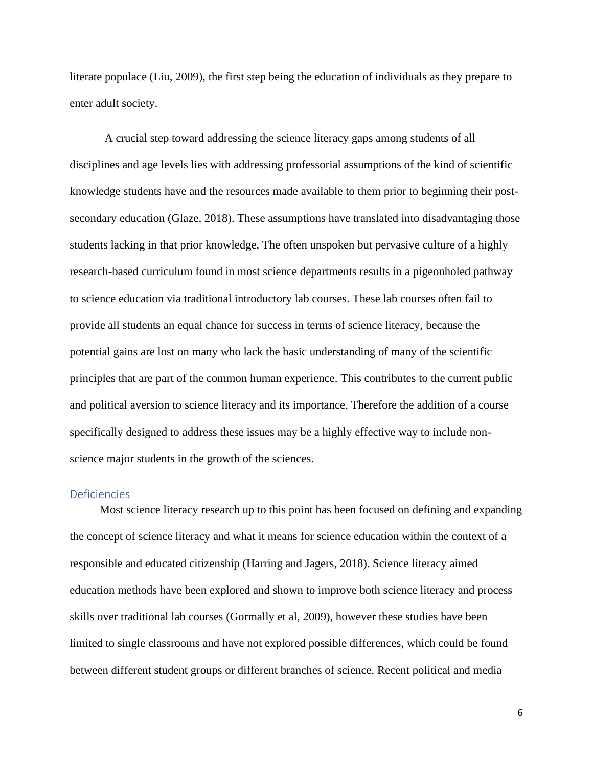literate populace (Liu, 2009), the first step being the education of individuals as they prepare to enter adult society.

A crucial step toward addressing the science literacy gaps among students of all disciplines and age levels lies with addressing professorial assumptions of the kind of scientific knowledge students have and the resources made available to them prior to beginning their postsecondary education (Glaze, 2018). These assumptions have translated into disadvantaging those students lacking in that prior knowledge. The often unspoken but pervasive culture of a highly research-based curriculum found in most science departments results in a pigeonholed pathway to science education via traditional introductory lab courses. These lab courses often fail to provide all students an equal chance for success in terms of science literacy, because the potential gains are lost on many who lack the basic understanding of many of the scientific principles that are part of the common human experience. This contributes to the current public and political aversion to science literacy and its importance. Therefore the addition of a course specifically designed to address these issues may be a highly effective way to include nonscience major students in the growth of the sciences.

### <span id="page-6-0"></span>Deficiencies

 Most science literacy research up to this point has been focused on defining and expanding the concept of science literacy and what it means for science education within the context of a responsible and educated citizenship (Harring and Jagers, 2018). Science literacy aimed education methods have been explored and shown to improve both science literacy and process skills over traditional lab courses (Gormally et al, 2009), however these studies have been limited to single classrooms and have not explored possible differences, which could be found between different student groups or different branches of science. Recent political and media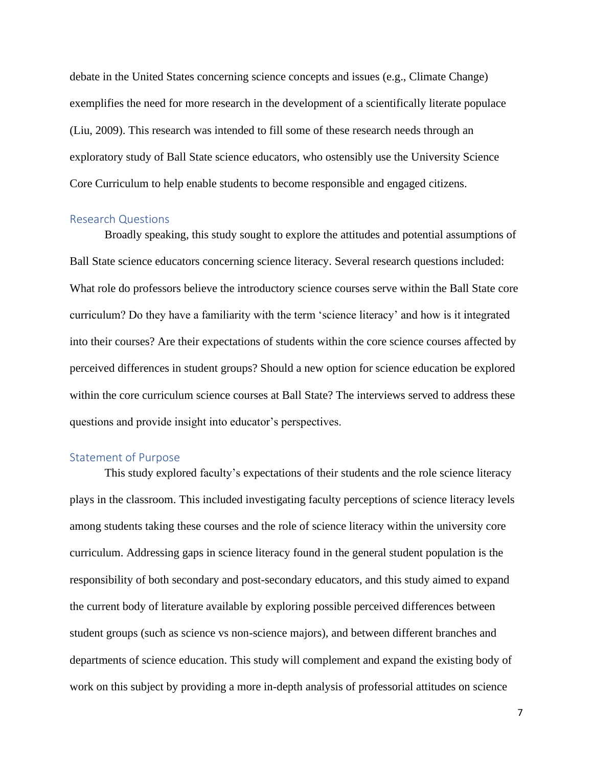debate in the United States concerning science concepts and issues (e.g., Climate Change) exemplifies the need for more research in the development of a scientifically literate populace (Liu, 2009). This research was intended to fill some of these research needs through an exploratory study of Ball State science educators, who ostensibly use the University Science Core Curriculum to help enable students to become responsible and engaged citizens.

### <span id="page-7-0"></span>Research Questions

Broadly speaking, this study sought to explore the attitudes and potential assumptions of Ball State science educators concerning science literacy. Several research questions included: What role do professors believe the introductory science courses serve within the Ball State core curriculum? Do they have a familiarity with the term 'science literacy' and how is it integrated into their courses? Are their expectations of students within the core science courses affected by perceived differences in student groups? Should a new option for science education be explored within the core curriculum science courses at Ball State? The interviews served to address these questions and provide insight into educator's perspectives.

### <span id="page-7-1"></span>Statement of Purpose

This study explored faculty's expectations of their students and the role science literacy plays in the classroom. This included investigating faculty perceptions of science literacy levels among students taking these courses and the role of science literacy within the university core curriculum. Addressing gaps in science literacy found in the general student population is the responsibility of both secondary and post-secondary educators, and this study aimed to expand the current body of literature available by exploring possible perceived differences between student groups (such as science vs non-science majors), and between different branches and departments of science education. This study will complement and expand the existing body of work on this subject by providing a more in-depth analysis of professorial attitudes on science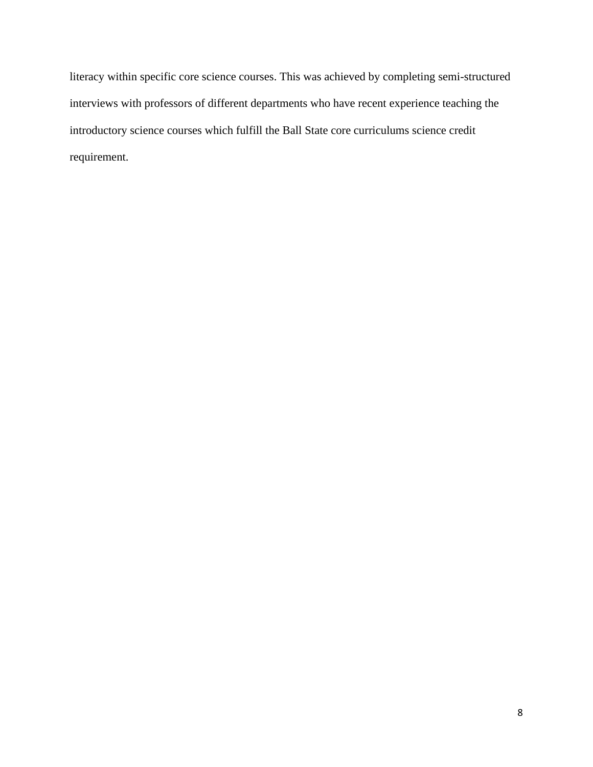literacy within specific core science courses. This was achieved by completing semi-structured interviews with professors of different departments who have recent experience teaching the introductory science courses which fulfill the Ball State core curriculums science credit requirement.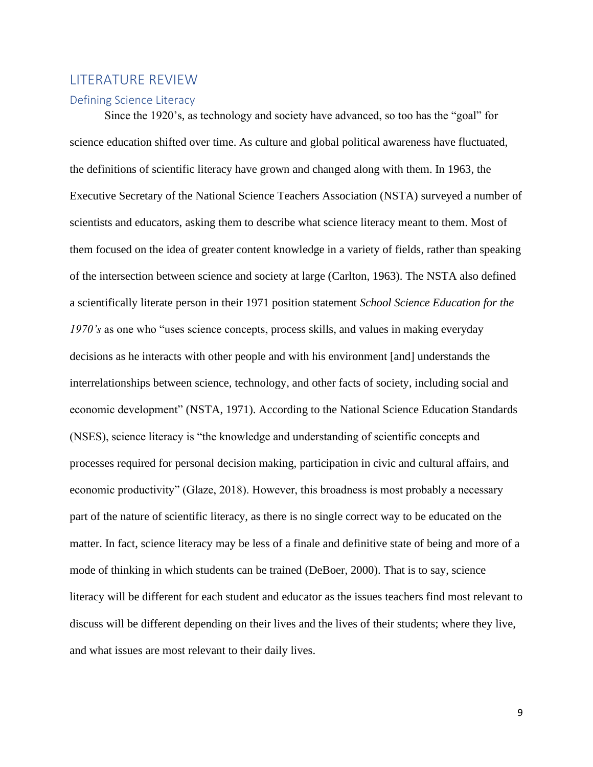### <span id="page-9-0"></span>LITERATURE REVIEW

#### <span id="page-9-1"></span>Defining Science Literacy

Since the 1920's, as technology and society have advanced, so too has the "goal" for science education shifted over time. As culture and global political awareness have fluctuated, the definitions of scientific literacy have grown and changed along with them. In 1963, the Executive Secretary of the National Science Teachers Association (NSTA) surveyed a number of scientists and educators, asking them to describe what science literacy meant to them. Most of them focused on the idea of greater content knowledge in a variety of fields, rather than speaking of the intersection between science and society at large (Carlton, 1963). The NSTA also defined a scientifically literate person in their 1971 position statement *School Science Education for the 1970's* as one who "uses science concepts, process skills, and values in making everyday decisions as he interacts with other people and with his environment [and] understands the interrelationships between science, technology, and other facts of society, including social and economic development" (NSTA, 1971). According to the National Science Education Standards (NSES), science literacy is "the knowledge and understanding of scientific concepts and processes required for personal decision making, participation in civic and cultural affairs, and economic productivity" (Glaze, 2018). However, this broadness is most probably a necessary part of the nature of scientific literacy, as there is no single correct way to be educated on the matter. In fact, science literacy may be less of a finale and definitive state of being and more of a mode of thinking in which students can be trained (DeBoer, 2000). That is to say, science literacy will be different for each student and educator as the issues teachers find most relevant to discuss will be different depending on their lives and the lives of their students; where they live, and what issues are most relevant to their daily lives.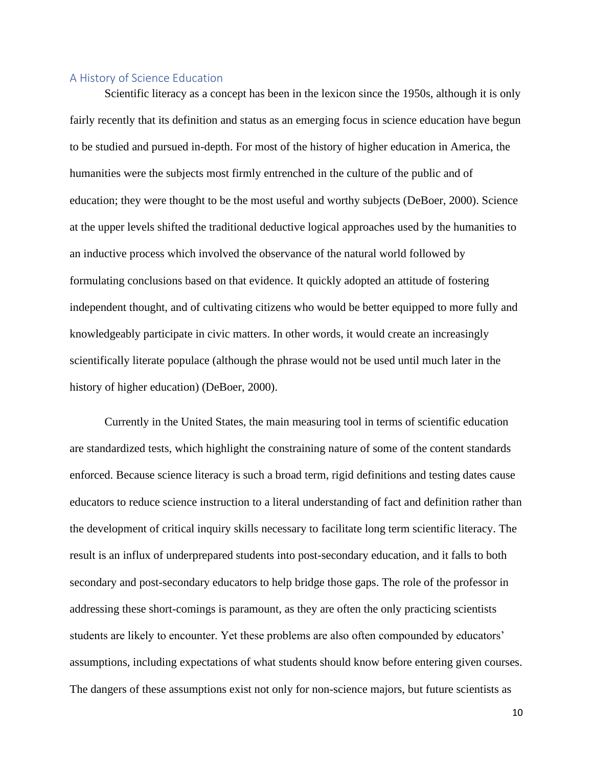### <span id="page-10-0"></span>A History of Science Education

Scientific literacy as a concept has been in the lexicon since the 1950s, although it is only fairly recently that its definition and status as an emerging focus in science education have begun to be studied and pursued in-depth. For most of the history of higher education in America, the humanities were the subjects most firmly entrenched in the culture of the public and of education; they were thought to be the most useful and worthy subjects (DeBoer, 2000). Science at the upper levels shifted the traditional deductive logical approaches used by the humanities to an inductive process which involved the observance of the natural world followed by formulating conclusions based on that evidence. It quickly adopted an attitude of fostering independent thought, and of cultivating citizens who would be better equipped to more fully and knowledgeably participate in civic matters. In other words, it would create an increasingly scientifically literate populace (although the phrase would not be used until much later in the history of higher education) (DeBoer, 2000).

Currently in the United States, the main measuring tool in terms of scientific education are standardized tests, which highlight the constraining nature of some of the content standards enforced. Because science literacy is such a broad term, rigid definitions and testing dates cause educators to reduce science instruction to a literal understanding of fact and definition rather than the development of critical inquiry skills necessary to facilitate long term scientific literacy. The result is an influx of underprepared students into post-secondary education, and it falls to both secondary and post-secondary educators to help bridge those gaps. The role of the professor in addressing these short-comings is paramount, as they are often the only practicing scientists students are likely to encounter. Yet these problems are also often compounded by educators' assumptions, including expectations of what students should know before entering given courses. The dangers of these assumptions exist not only for non-science majors, but future scientists as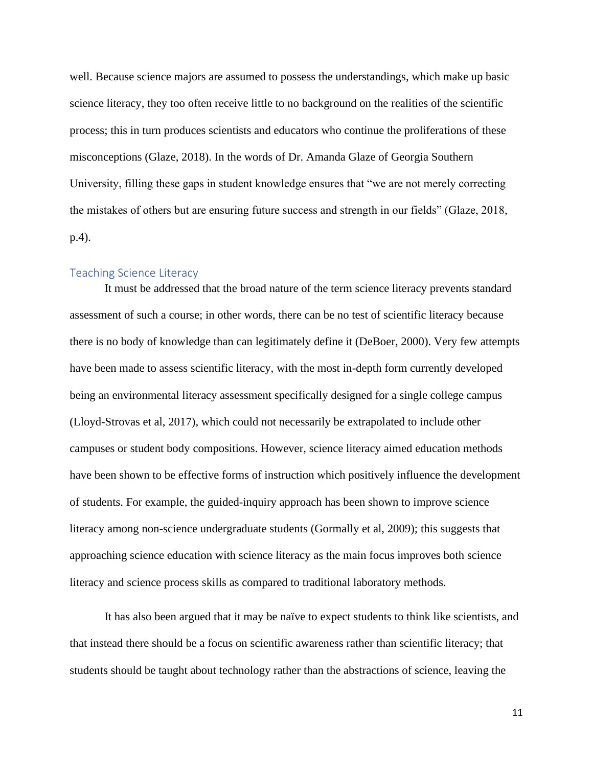well. Because science majors are assumed to possess the understandings, which make up basic science literacy, they too often receive little to no background on the realities of the scientific process; this in turn produces scientists and educators who continue the proliferations of these misconceptions (Glaze, 2018). In the words of Dr. Amanda Glaze of Georgia Southern University, filling these gaps in student knowledge ensures that "we are not merely correcting the mistakes of others but are ensuring future success and strength in our fields" (Glaze, 2018, p.4).

### <span id="page-11-0"></span>Teaching Science Literacy

It must be addressed that the broad nature of the term science literacy prevents standard assessment of such a course; in other words, there can be no test of scientific literacy because there is no body of knowledge than can legitimately define it (DeBoer, 2000). Very few attempts have been made to assess scientific literacy, with the most in-depth form currently developed being an environmental literacy assessment specifically designed for a single college campus (Lloyd-Strovas et al, 2017), which could not necessarily be extrapolated to include other campuses or student body compositions. However, science literacy aimed education methods have been shown to be effective forms of instruction which positively influence the development of students. For example, the guided-inquiry approach has been shown to improve science literacy among non-science undergraduate students (Gormally et al, 2009); this suggests that approaching science education with science literacy as the main focus improves both science literacy and science process skills as compared to traditional laboratory methods.

It has also been argued that it may be naïve to expect students to think like scientists, and that instead there should be a focus on scientific awareness rather than scientific literacy; that students should be taught about technology rather than the abstractions of science, leaving the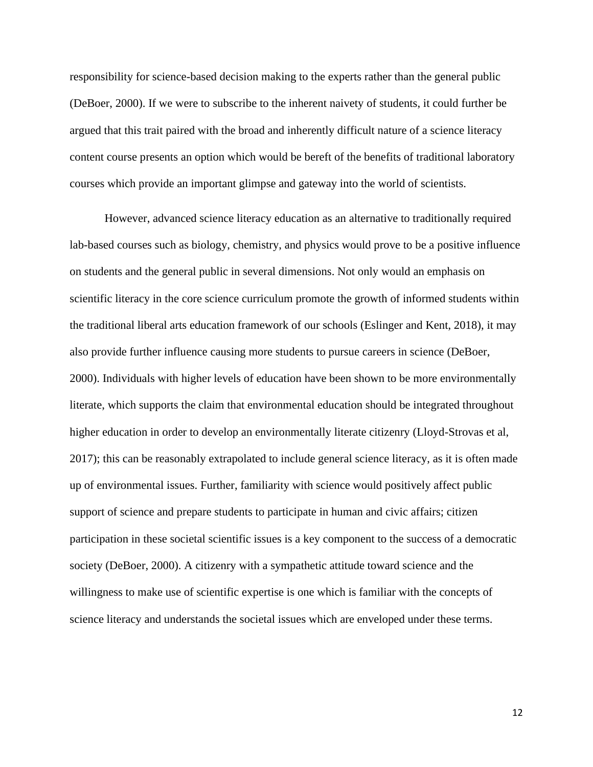responsibility for science-based decision making to the experts rather than the general public (DeBoer, 2000). If we were to subscribe to the inherent naivety of students, it could further be argued that this trait paired with the broad and inherently difficult nature of a science literacy content course presents an option which would be bereft of the benefits of traditional laboratory courses which provide an important glimpse and gateway into the world of scientists.

However, advanced science literacy education as an alternative to traditionally required lab-based courses such as biology, chemistry, and physics would prove to be a positive influence on students and the general public in several dimensions. Not only would an emphasis on scientific literacy in the core science curriculum promote the growth of informed students within the traditional liberal arts education framework of our schools (Eslinger and Kent, 2018), it may also provide further influence causing more students to pursue careers in science (DeBoer, 2000). Individuals with higher levels of education have been shown to be more environmentally literate, which supports the claim that environmental education should be integrated throughout higher education in order to develop an environmentally literate citizenry (Lloyd-Strovas et al, 2017); this can be reasonably extrapolated to include general science literacy, as it is often made up of environmental issues. Further, familiarity with science would positively affect public support of science and prepare students to participate in human and civic affairs; citizen participation in these societal scientific issues is a key component to the success of a democratic society (DeBoer, 2000). A citizenry with a sympathetic attitude toward science and the willingness to make use of scientific expertise is one which is familiar with the concepts of science literacy and understands the societal issues which are enveloped under these terms.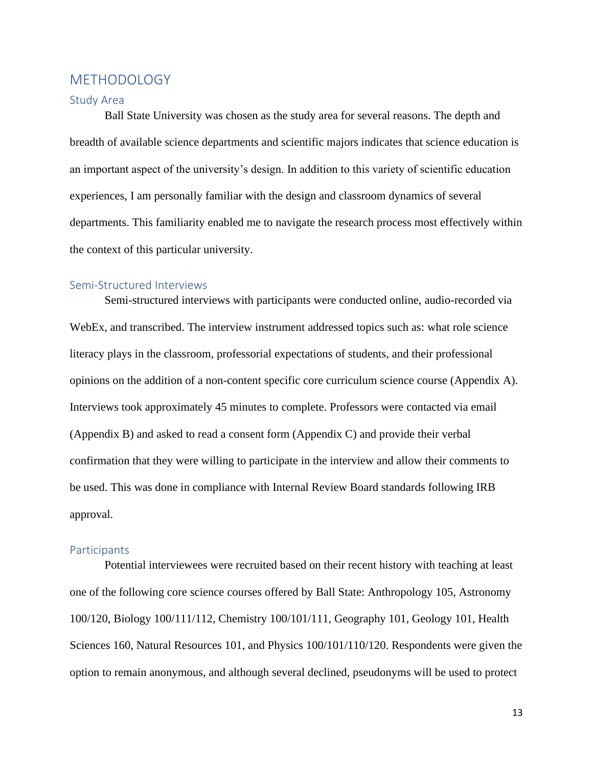### <span id="page-13-0"></span>METHODOLOGY

#### <span id="page-13-1"></span>Study Area

Ball State University was chosen as the study area for several reasons. The depth and breadth of available science departments and scientific majors indicates that science education is an important aspect of the university's design. In addition to this variety of scientific education experiences, I am personally familiar with the design and classroom dynamics of several departments. This familiarity enabled me to navigate the research process most effectively within the context of this particular university.

### <span id="page-13-2"></span>Semi-Structured Interviews

Semi-structured interviews with participants were conducted online, audio-recorded via WebEx, and transcribed. The interview instrument addressed topics such as: what role science literacy plays in the classroom, professorial expectations of students, and their professional opinions on the addition of a non-content specific core curriculum science course (Appendix A). Interviews took approximately 45 minutes to complete. Professors were contacted via email (Appendix B) and asked to read a consent form (Appendix C) and provide their verbal confirmation that they were willing to participate in the interview and allow their comments to be used. This was done in compliance with Internal Review Board standards following IRB approval.

#### <span id="page-13-3"></span>**Participants**

Potential interviewees were recruited based on their recent history with teaching at least one of the following core science courses offered by Ball State: Anthropology 105, Astronomy 100/120, Biology 100/111/112, Chemistry 100/101/111, Geography 101, Geology 101, Health Sciences 160, Natural Resources 101, and Physics 100/101/110/120. Respondents were given the option to remain anonymous, and although several declined, pseudonyms will be used to protect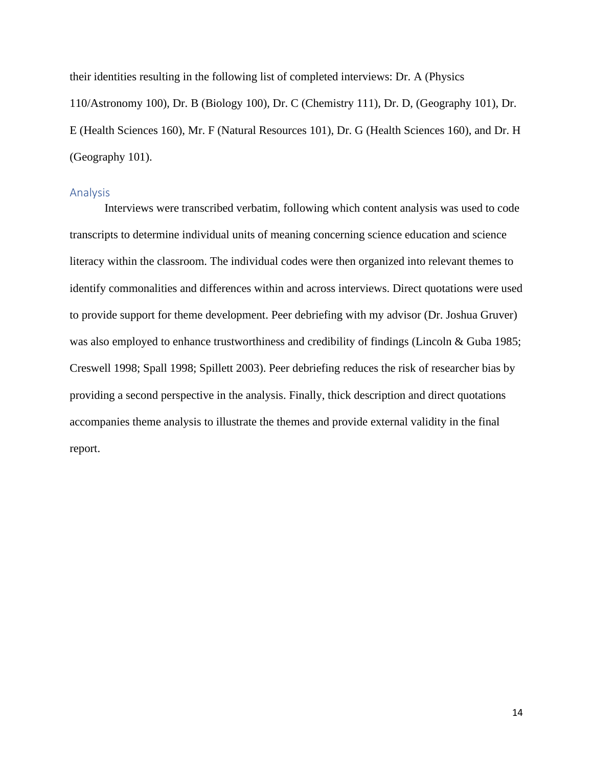their identities resulting in the following list of completed interviews: Dr. A (Physics 110/Astronomy 100), Dr. B (Biology 100), Dr. C (Chemistry 111), Dr. D, (Geography 101), Dr. E (Health Sciences 160), Mr. F (Natural Resources 101), Dr. G (Health Sciences 160), and Dr. H (Geography 101).

#### <span id="page-14-0"></span>Analysis

Interviews were transcribed verbatim, following which content analysis was used to code transcripts to determine individual units of meaning concerning science education and science literacy within the classroom. The individual codes were then organized into relevant themes to identify commonalities and differences within and across interviews. Direct quotations were used to provide support for theme development. Peer debriefing with my advisor (Dr. Joshua Gruver) was also employed to enhance trustworthiness and credibility of findings (Lincoln & Guba 1985; Creswell 1998; Spall 1998; Spillett 2003). Peer debriefing reduces the risk of researcher bias by providing a second perspective in the analysis. Finally, thick description and direct quotations accompanies theme analysis to illustrate the themes and provide external validity in the final report.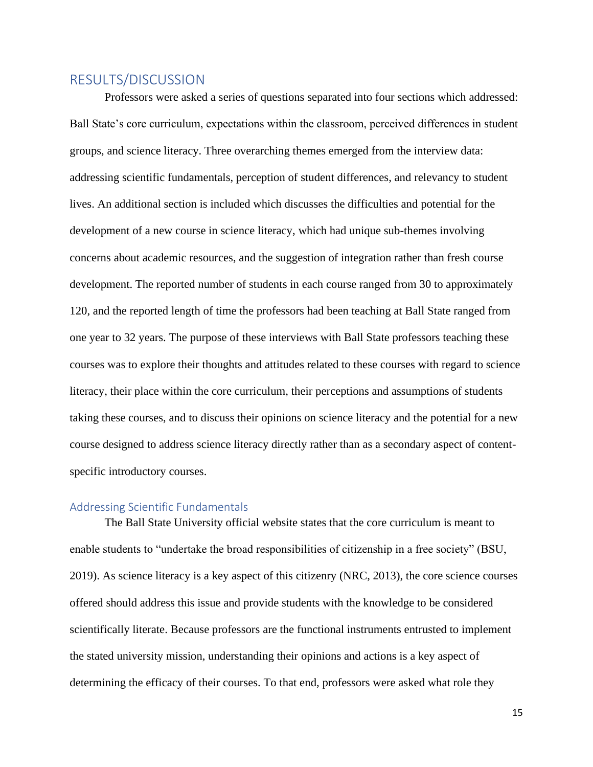### <span id="page-15-0"></span>RESULTS/DISCUSSION

Professors were asked a series of questions separated into four sections which addressed: Ball State's core curriculum, expectations within the classroom, perceived differences in student groups, and science literacy. Three overarching themes emerged from the interview data: addressing scientific fundamentals, perception of student differences, and relevancy to student lives. An additional section is included which discusses the difficulties and potential for the development of a new course in science literacy, which had unique sub-themes involving concerns about academic resources, and the suggestion of integration rather than fresh course development. The reported number of students in each course ranged from 30 to approximately 120, and the reported length of time the professors had been teaching at Ball State ranged from one year to 32 years. The purpose of these interviews with Ball State professors teaching these courses was to explore their thoughts and attitudes related to these courses with regard to science literacy, their place within the core curriculum, their perceptions and assumptions of students taking these courses, and to discuss their opinions on science literacy and the potential for a new course designed to address science literacy directly rather than as a secondary aspect of contentspecific introductory courses.

### <span id="page-15-1"></span>Addressing Scientific Fundamentals

The Ball State University official website states that the core curriculum is meant to enable students to "undertake the broad responsibilities of citizenship in a free society" (BSU, 2019). As science literacy is a key aspect of this citizenry (NRC, 2013), the core science courses offered should address this issue and provide students with the knowledge to be considered scientifically literate. Because professors are the functional instruments entrusted to implement the stated university mission, understanding their opinions and actions is a key aspect of determining the efficacy of their courses. To that end, professors were asked what role they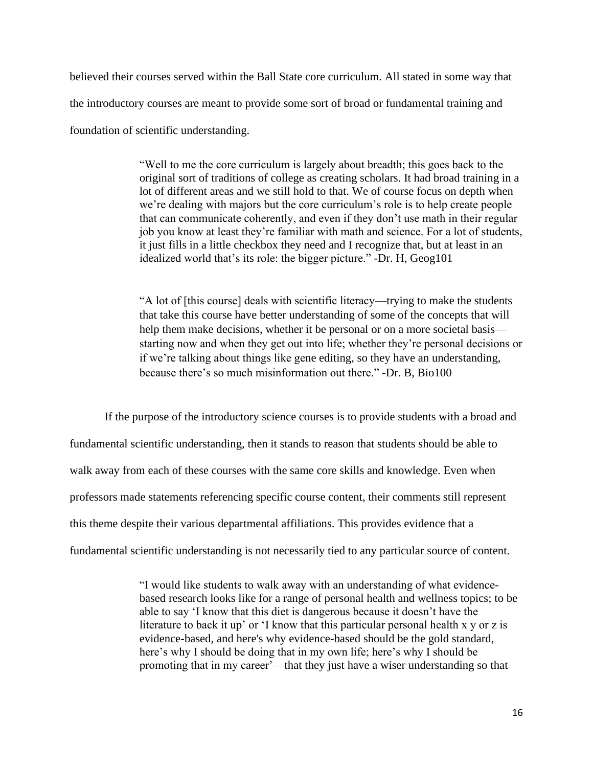believed their courses served within the Ball State core curriculum. All stated in some way that the introductory courses are meant to provide some sort of broad or fundamental training and foundation of scientific understanding.

> "Well to me the core curriculum is largely about breadth; this goes back to the original sort of traditions of college as creating scholars. It had broad training in a lot of different areas and we still hold to that. We of course focus on depth when we're dealing with majors but the core curriculum's role is to help create people that can communicate coherently, and even if they don't use math in their regular job you know at least they're familiar with math and science. For a lot of students, it just fills in a little checkbox they need and I recognize that, but at least in an idealized world that's its role: the bigger picture." -Dr. H, Geog101

> "A lot of [this course] deals with scientific literacy—trying to make the students that take this course have better understanding of some of the concepts that will help them make decisions, whether it be personal or on a more societal basis starting now and when they get out into life; whether they're personal decisions or if we're talking about things like gene editing, so they have an understanding, because there's so much misinformation out there." -Dr. B, Bio100

If the purpose of the introductory science courses is to provide students with a broad and fundamental scientific understanding, then it stands to reason that students should be able to walk away from each of these courses with the same core skills and knowledge. Even when professors made statements referencing specific course content, their comments still represent this theme despite their various departmental affiliations. This provides evidence that a fundamental scientific understanding is not necessarily tied to any particular source of content.

> "I would like students to walk away with an understanding of what evidencebased research looks like for a range of personal health and wellness topics; to be able to say 'I know that this diet is dangerous because it doesn't have the literature to back it up' or 'I know that this particular personal health x y or z is evidence-based, and here's why evidence-based should be the gold standard, here's why I should be doing that in my own life; here's why I should be promoting that in my career'—that they just have a wiser understanding so that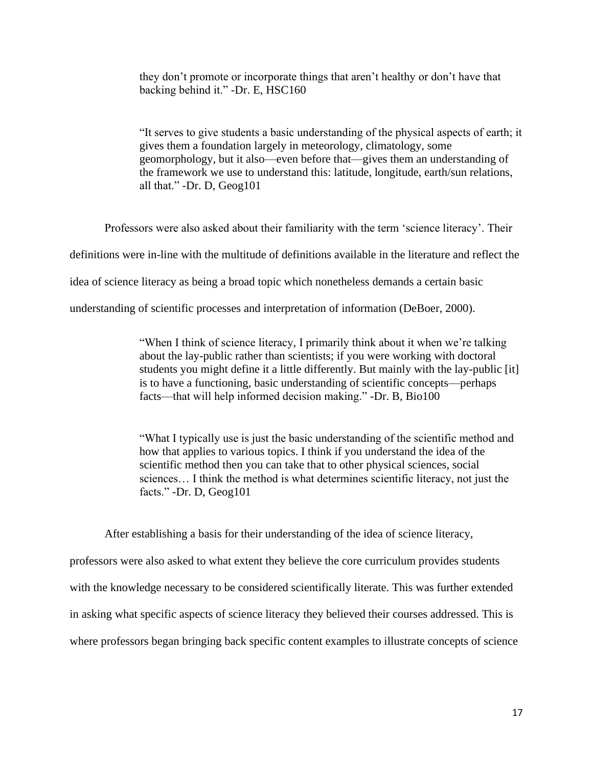they don't promote or incorporate things that aren't healthy or don't have that backing behind it." -Dr. E, HSC160

"It serves to give students a basic understanding of the physical aspects of earth; it gives them a foundation largely in meteorology, climatology, some geomorphology, but it also—even before that—gives them an understanding of the framework we use to understand this: latitude, longitude, earth/sun relations, all that." -Dr. D, Geog101

Professors were also asked about their familiarity with the term 'science literacy'. Their definitions were in-line with the multitude of definitions available in the literature and reflect the idea of science literacy as being a broad topic which nonetheless demands a certain basic understanding of scientific processes and interpretation of information (DeBoer, 2000).

> "When I think of science literacy, I primarily think about it when we're talking about the lay-public rather than scientists; if you were working with doctoral students you might define it a little differently. But mainly with the lay-public [it] is to have a functioning, basic understanding of scientific concepts—perhaps facts—that will help informed decision making." -Dr. B, Bio100

"What I typically use is just the basic understanding of the scientific method and how that applies to various topics. I think if you understand the idea of the scientific method then you can take that to other physical sciences, social sciences… I think the method is what determines scientific literacy, not just the facts." -Dr. D, Geog101

After establishing a basis for their understanding of the idea of science literacy, professors were also asked to what extent they believe the core curriculum provides students with the knowledge necessary to be considered scientifically literate. This was further extended in asking what specific aspects of science literacy they believed their courses addressed. This is where professors began bringing back specific content examples to illustrate concepts of science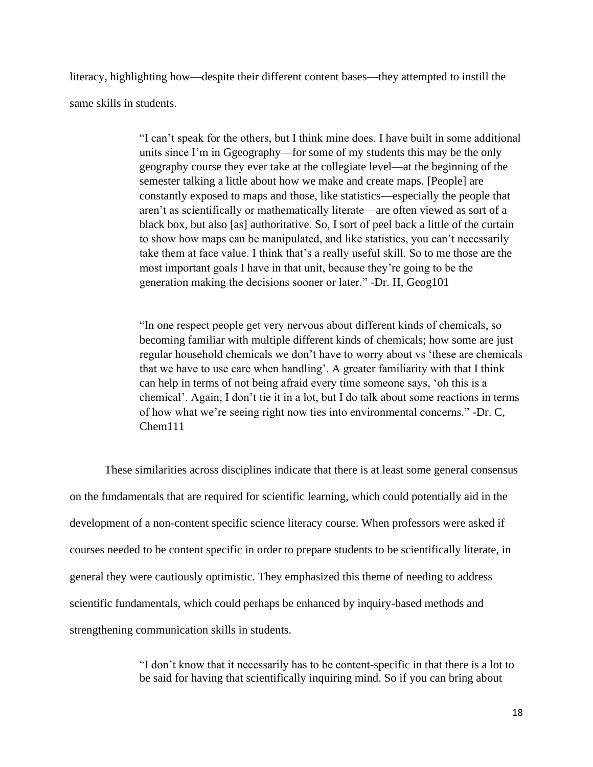literacy, highlighting how—despite their different content bases—they attempted to instill the same skills in students.

> "I can't speak for the others, but I think mine does. I have built in some additional units since I'm in Ggeography—for some of my students this may be the only geography course they ever take at the collegiate level—at the beginning of the semester talking a little about how we make and create maps. [People] are constantly exposed to maps and those, like statistics—especially the people that aren't as scientifically or mathematically literate—are often viewed as sort of a black box, but also [as] authoritative. So, I sort of peel back a little of the curtain to show how maps can be manipulated, and like statistics, you can't necessarily take them at face value. I think that's a really useful skill. So to me those are the most important goals I have in that unit, because they're going to be the generation making the decisions sooner or later." -Dr. H, Geog101

> "In one respect people get very nervous about different kinds of chemicals, so becoming familiar with multiple different kinds of chemicals; how some are just regular household chemicals we don't have to worry about vs 'these are chemicals that we have to use care when handling'. A greater familiarity with that I think can help in terms of not being afraid every time someone says, 'oh this is a chemical'. Again, I don't tie it in a lot, but I do talk about some reactions in terms of how what we're seeing right now ties into environmental concerns." -Dr. C, Chem111

These similarities across disciplines indicate that there is at least some general consensus on the fundamentals that are required for scientific learning, which could potentially aid in the development of a non-content specific science literacy course. When professors were asked if courses needed to be content specific in order to prepare students to be scientifically literate, in general they were cautiously optimistic. They emphasized this theme of needing to address scientific fundamentals, which could perhaps be enhanced by inquiry-based methods and strengthening communication skills in students.

> "I don't know that it necessarily has to be content-specific in that there is a lot to be said for having that scientifically inquiring mind. So if you can bring about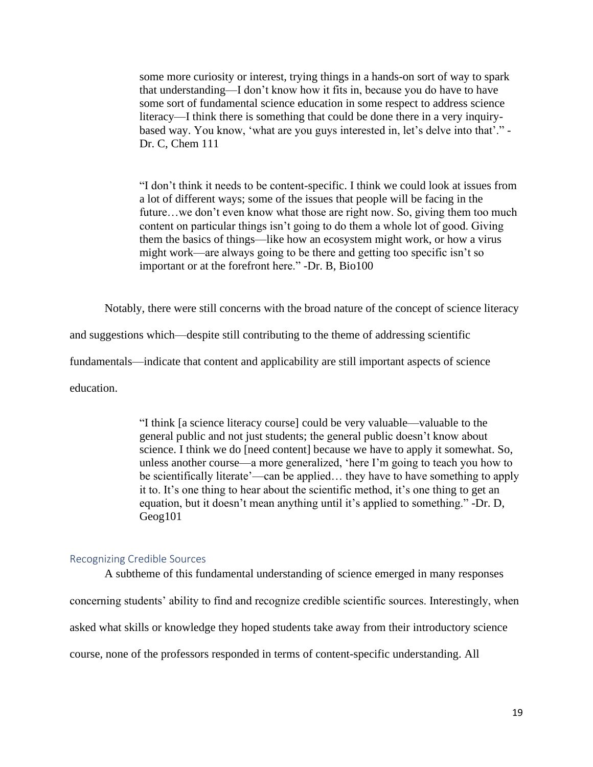some more curiosity or interest, trying things in a hands-on sort of way to spark that understanding—I don't know how it fits in, because you do have to have some sort of fundamental science education in some respect to address science literacy—I think there is something that could be done there in a very inquirybased way. You know, 'what are you guys interested in, let's delve into that'." - Dr. C, Chem 111

"I don't think it needs to be content-specific. I think we could look at issues from a lot of different ways; some of the issues that people will be facing in the future…we don't even know what those are right now. So, giving them too much content on particular things isn't going to do them a whole lot of good. Giving them the basics of things—like how an ecosystem might work, or how a virus might work—are always going to be there and getting too specific isn't so important or at the forefront here." -Dr. B, Bio100

Notably, there were still concerns with the broad nature of the concept of science literacy

and suggestions which—despite still contributing to the theme of addressing scientific

fundamentals—indicate that content and applicability are still important aspects of science

education.

"I think [a science literacy course] could be very valuable—valuable to the general public and not just students; the general public doesn't know about science. I think we do [need content] because we have to apply it somewhat. So, unless another course—a more generalized, 'here I'm going to teach you how to be scientifically literate'—can be applied… they have to have something to apply it to. It's one thing to hear about the scientific method, it's one thing to get an equation, but it doesn't mean anything until it's applied to something." -Dr. D, Geog101

#### <span id="page-19-0"></span>Recognizing Credible Sources

A subtheme of this fundamental understanding of science emerged in many responses concerning students' ability to find and recognize credible scientific sources. Interestingly, when asked what skills or knowledge they hoped students take away from their introductory science course, none of the professors responded in terms of content-specific understanding. All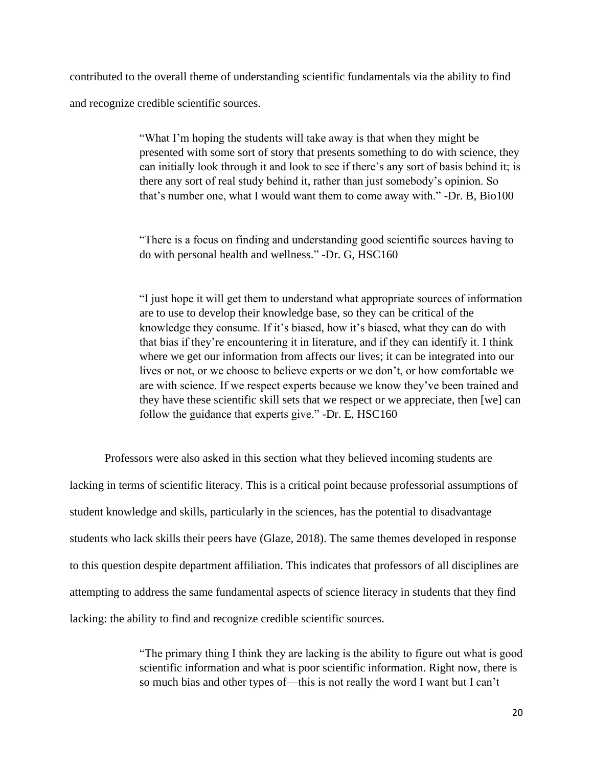contributed to the overall theme of understanding scientific fundamentals via the ability to find and recognize credible scientific sources.

> "What I'm hoping the students will take away is that when they might be presented with some sort of story that presents something to do with science, they can initially look through it and look to see if there's any sort of basis behind it; is there any sort of real study behind it, rather than just somebody's opinion. So that's number one, what I would want them to come away with." -Dr. B, Bio100

"There is a focus on finding and understanding good scientific sources having to do with personal health and wellness." -Dr. G, HSC160

"I just hope it will get them to understand what appropriate sources of information are to use to develop their knowledge base, so they can be critical of the knowledge they consume. If it's biased, how it's biased, what they can do with that bias if they're encountering it in literature, and if they can identify it. I think where we get our information from affects our lives; it can be integrated into our lives or not, or we choose to believe experts or we don't, or how comfortable we are with science. If we respect experts because we know they've been trained and they have these scientific skill sets that we respect or we appreciate, then [we] can follow the guidance that experts give." -Dr. E, HSC160

Professors were also asked in this section what they believed incoming students are lacking in terms of scientific literacy. This is a critical point because professorial assumptions of student knowledge and skills, particularly in the sciences, has the potential to disadvantage students who lack skills their peers have (Glaze, 2018). The same themes developed in response to this question despite department affiliation. This indicates that professors of all disciplines are attempting to address the same fundamental aspects of science literacy in students that they find lacking: the ability to find and recognize credible scientific sources.

> "The primary thing I think they are lacking is the ability to figure out what is good scientific information and what is poor scientific information. Right now, there is so much bias and other types of—this is not really the word I want but I can't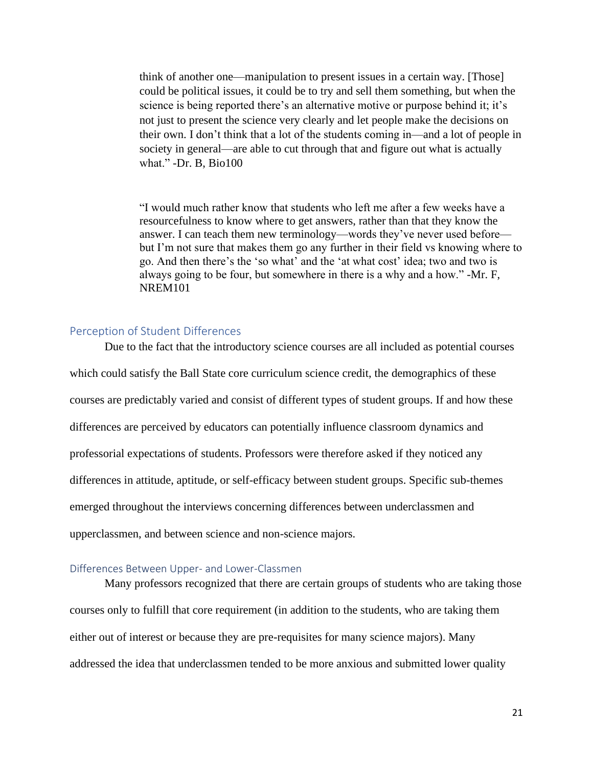think of another one—manipulation to present issues in a certain way. [Those] could be political issues, it could be to try and sell them something, but when the science is being reported there's an alternative motive or purpose behind it; it's not just to present the science very clearly and let people make the decisions on their own. I don't think that a lot of the students coming in—and a lot of people in society in general—are able to cut through that and figure out what is actually what." -Dr. B, Bio100

"I would much rather know that students who left me after a few weeks have a resourcefulness to know where to get answers, rather than that they know the answer. I can teach them new terminology—words they've never used before but I'm not sure that makes them go any further in their field vs knowing where to go. And then there's the 'so what' and the 'at what cost' idea; two and two is always going to be four, but somewhere in there is a why and a how." -Mr. F, NREM101

### <span id="page-21-0"></span>Perception of Student Differences

Due to the fact that the introductory science courses are all included as potential courses which could satisfy the Ball State core curriculum science credit, the demographics of these courses are predictably varied and consist of different types of student groups. If and how these differences are perceived by educators can potentially influence classroom dynamics and professorial expectations of students. Professors were therefore asked if they noticed any differences in attitude, aptitude, or self-efficacy between student groups. Specific sub-themes emerged throughout the interviews concerning differences between underclassmen and upperclassmen, and between science and non-science majors.

#### <span id="page-21-1"></span>Differences Between Upper- and Lower-Classmen

Many professors recognized that there are certain groups of students who are taking those courses only to fulfill that core requirement (in addition to the students, who are taking them either out of interest or because they are pre-requisites for many science majors). Many addressed the idea that underclassmen tended to be more anxious and submitted lower quality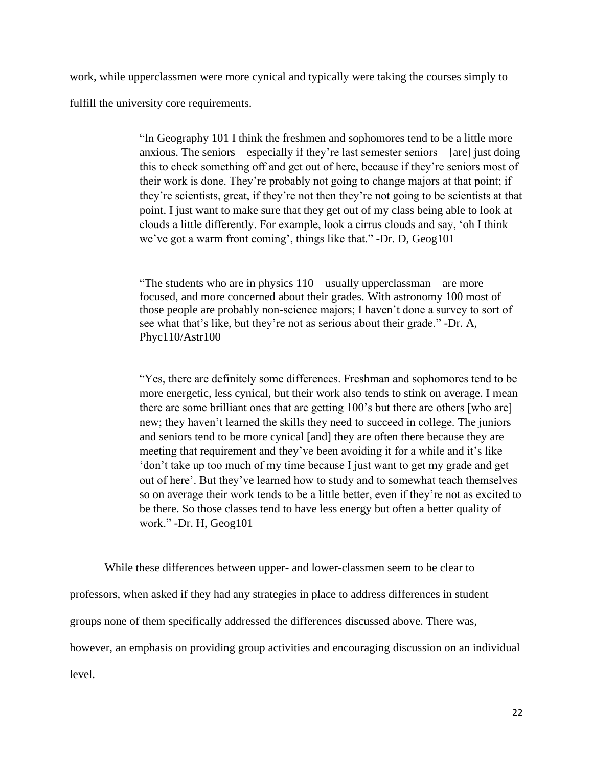work, while upperclassmen were more cynical and typically were taking the courses simply to fulfill the university core requirements.

> "In Geography 101 I think the freshmen and sophomores tend to be a little more anxious. The seniors—especially if they're last semester seniors—[are] just doing this to check something off and get out of here, because if they're seniors most of their work is done. They're probably not going to change majors at that point; if they're scientists, great, if they're not then they're not going to be scientists at that point. I just want to make sure that they get out of my class being able to look at clouds a little differently. For example, look a cirrus clouds and say, 'oh I think we've got a warm front coming', things like that." -Dr. D, Geog101

"The students who are in physics 110—usually upperclassman—are more focused, and more concerned about their grades. With astronomy 100 most of those people are probably non-science majors; I haven't done a survey to sort of see what that's like, but they're not as serious about their grade." -Dr. A, Phyc110/Astr100

"Yes, there are definitely some differences. Freshman and sophomores tend to be more energetic, less cynical, but their work also tends to stink on average. I mean there are some brilliant ones that are getting 100's but there are others [who are] new; they haven't learned the skills they need to succeed in college. The juniors and seniors tend to be more cynical [and] they are often there because they are meeting that requirement and they've been avoiding it for a while and it's like 'don't take up too much of my time because I just want to get my grade and get out of here'. But they've learned how to study and to somewhat teach themselves so on average their work tends to be a little better, even if they're not as excited to be there. So those classes tend to have less energy but often a better quality of work." -Dr. H, Geog101

While these differences between upper- and lower-classmen seem to be clear to professors, when asked if they had any strategies in place to address differences in student groups none of them specifically addressed the differences discussed above. There was, however, an emphasis on providing group activities and encouraging discussion on an individual level.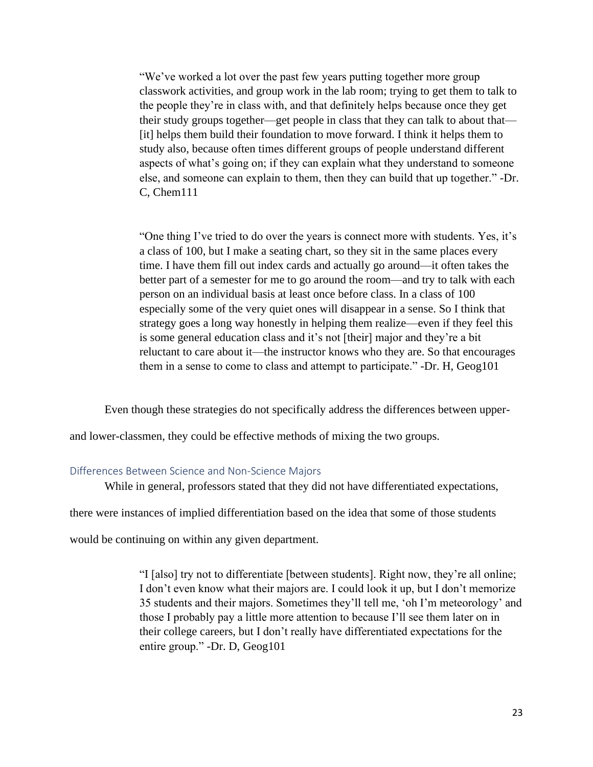"We've worked a lot over the past few years putting together more group classwork activities, and group work in the lab room; trying to get them to talk to the people they're in class with, and that definitely helps because once they get their study groups together—get people in class that they can talk to about that— [it] helps them build their foundation to move forward. I think it helps them to study also, because often times different groups of people understand different aspects of what's going on; if they can explain what they understand to someone else, and someone can explain to them, then they can build that up together." -Dr. C, Chem111

"One thing I've tried to do over the years is connect more with students. Yes, it's a class of 100, but I make a seating chart, so they sit in the same places every time. I have them fill out index cards and actually go around—it often takes the better part of a semester for me to go around the room—and try to talk with each person on an individual basis at least once before class. In a class of 100 especially some of the very quiet ones will disappear in a sense. So I think that strategy goes a long way honestly in helping them realize—even if they feel this is some general education class and it's not [their] major and they're a bit reluctant to care about it—the instructor knows who they are. So that encourages them in a sense to come to class and attempt to participate." -Dr. H, Geog101

Even though these strategies do not specifically address the differences between upper-

and lower-classmen, they could be effective methods of mixing the two groups.

#### <span id="page-23-0"></span>Differences Between Science and Non-Science Majors

While in general, professors stated that they did not have differentiated expectations,

there were instances of implied differentiation based on the idea that some of those students

would be continuing on within any given department.

"I [also] try not to differentiate [between students]. Right now, they're all online; I don't even know what their majors are. I could look it up, but I don't memorize 35 students and their majors. Sometimes they'll tell me, 'oh I'm meteorology' and those I probably pay a little more attention to because I'll see them later on in their college careers, but I don't really have differentiated expectations for the entire group." -Dr. D, Geog101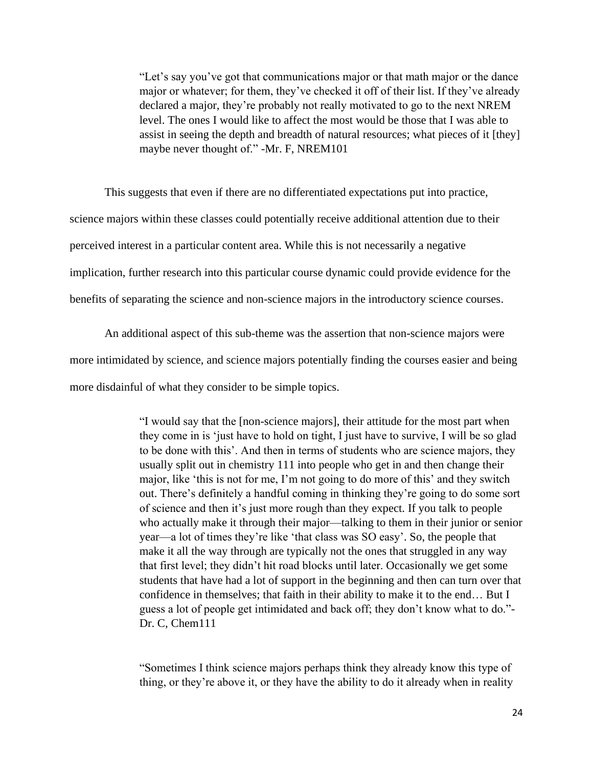"Let's say you've got that communications major or that math major or the dance major or whatever; for them, they've checked it off of their list. If they've already declared a major, they're probably not really motivated to go to the next NREM level. The ones I would like to affect the most would be those that I was able to assist in seeing the depth and breadth of natural resources; what pieces of it [they] maybe never thought of." -Mr. F, NREM101

This suggests that even if there are no differentiated expectations put into practice, science majors within these classes could potentially receive additional attention due to their perceived interest in a particular content area. While this is not necessarily a negative implication, further research into this particular course dynamic could provide evidence for the benefits of separating the science and non-science majors in the introductory science courses.

An additional aspect of this sub-theme was the assertion that non-science majors were more intimidated by science, and science majors potentially finding the courses easier and being more disdainful of what they consider to be simple topics.

> "I would say that the [non-science majors], their attitude for the most part when they come in is 'just have to hold on tight, I just have to survive, I will be so glad to be done with this'. And then in terms of students who are science majors, they usually split out in chemistry 111 into people who get in and then change their major, like 'this is not for me, I'm not going to do more of this' and they switch out. There's definitely a handful coming in thinking they're going to do some sort of science and then it's just more rough than they expect. If you talk to people who actually make it through their major—talking to them in their junior or senior year—a lot of times they're like 'that class was SO easy'. So, the people that make it all the way through are typically not the ones that struggled in any way that first level; they didn't hit road blocks until later. Occasionally we get some students that have had a lot of support in the beginning and then can turn over that confidence in themselves; that faith in their ability to make it to the end… But I guess a lot of people get intimidated and back off; they don't know what to do."- Dr. C, Chem111

"Sometimes I think science majors perhaps think they already know this type of thing, or they're above it, or they have the ability to do it already when in reality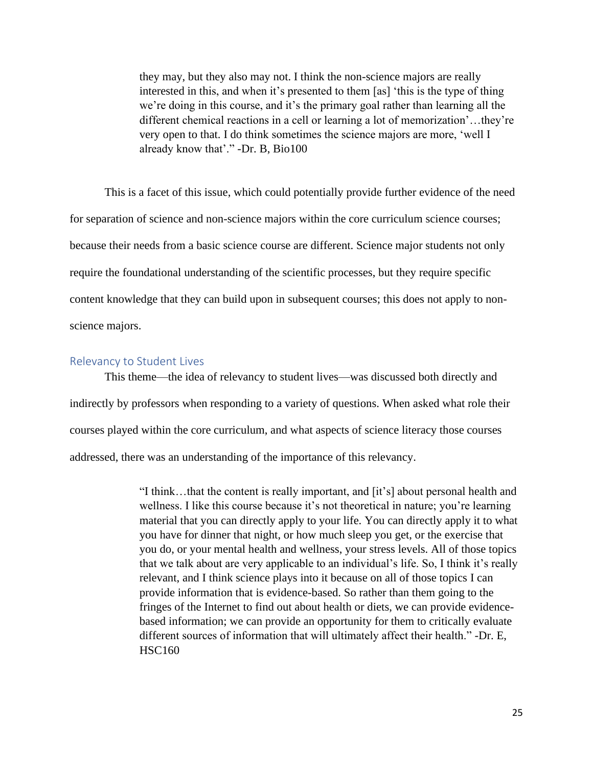they may, but they also may not. I think the non-science majors are really interested in this, and when it's presented to them [as] 'this is the type of thing we're doing in this course, and it's the primary goal rather than learning all the different chemical reactions in a cell or learning a lot of memorization'…they're very open to that. I do think sometimes the science majors are more, 'well I already know that'." -Dr. B, Bio100

This is a facet of this issue, which could potentially provide further evidence of the need for separation of science and non-science majors within the core curriculum science courses; because their needs from a basic science course are different. Science major students not only require the foundational understanding of the scientific processes, but they require specific content knowledge that they can build upon in subsequent courses; this does not apply to nonscience majors.

#### <span id="page-25-0"></span>Relevancy to Student Lives

This theme—the idea of relevancy to student lives—was discussed both directly and indirectly by professors when responding to a variety of questions. When asked what role their courses played within the core curriculum, and what aspects of science literacy those courses addressed, there was an understanding of the importance of this relevancy.

> "I think…that the content is really important, and [it's] about personal health and wellness. I like this course because it's not theoretical in nature; you're learning material that you can directly apply to your life. You can directly apply it to what you have for dinner that night, or how much sleep you get, or the exercise that you do, or your mental health and wellness, your stress levels. All of those topics that we talk about are very applicable to an individual's life. So, I think it's really relevant, and I think science plays into it because on all of those topics I can provide information that is evidence-based. So rather than them going to the fringes of the Internet to find out about health or diets, we can provide evidencebased information; we can provide an opportunity for them to critically evaluate different sources of information that will ultimately affect their health." -Dr. E, HSC160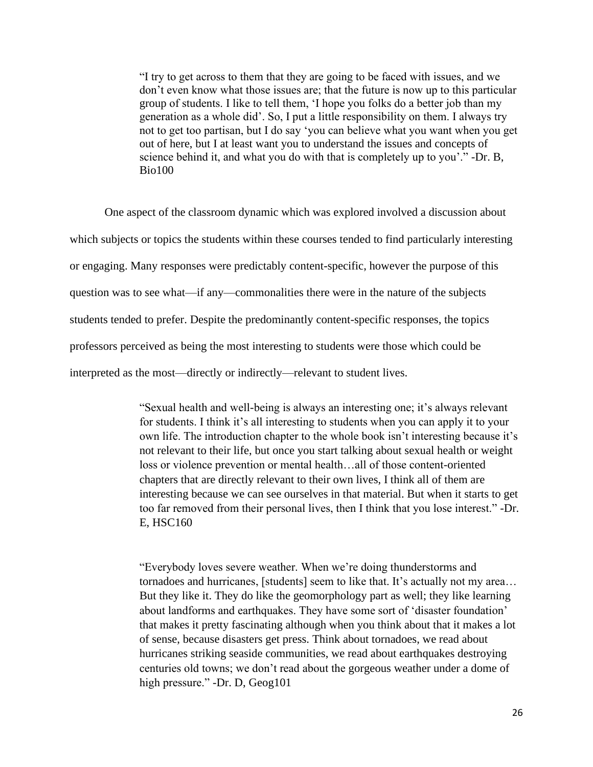"I try to get across to them that they are going to be faced with issues, and we don't even know what those issues are; that the future is now up to this particular group of students. I like to tell them, 'I hope you folks do a better job than my generation as a whole did'. So, I put a little responsibility on them. I always try not to get too partisan, but I do say 'you can believe what you want when you get out of here, but I at least want you to understand the issues and concepts of science behind it, and what you do with that is completely up to you'." -Dr. B, Bio100

One aspect of the classroom dynamic which was explored involved a discussion about which subjects or topics the students within these courses tended to find particularly interesting or engaging. Many responses were predictably content-specific, however the purpose of this question was to see what—if any—commonalities there were in the nature of the subjects students tended to prefer. Despite the predominantly content-specific responses, the topics professors perceived as being the most interesting to students were those which could be interpreted as the most—directly or indirectly—relevant to student lives.

> "Sexual health and well-being is always an interesting one; it's always relevant for students. I think it's all interesting to students when you can apply it to your own life. The introduction chapter to the whole book isn't interesting because it's not relevant to their life, but once you start talking about sexual health or weight loss or violence prevention or mental health…all of those content-oriented chapters that are directly relevant to their own lives, I think all of them are interesting because we can see ourselves in that material. But when it starts to get too far removed from their personal lives, then I think that you lose interest." -Dr. E, HSC160

> "Everybody loves severe weather. When we're doing thunderstorms and tornadoes and hurricanes, [students] seem to like that. It's actually not my area… But they like it. They do like the geomorphology part as well; they like learning about landforms and earthquakes. They have some sort of 'disaster foundation' that makes it pretty fascinating although when you think about that it makes a lot of sense, because disasters get press. Think about tornadoes, we read about hurricanes striking seaside communities, we read about earthquakes destroying centuries old towns; we don't read about the gorgeous weather under a dome of high pressure." -Dr. D, Geog101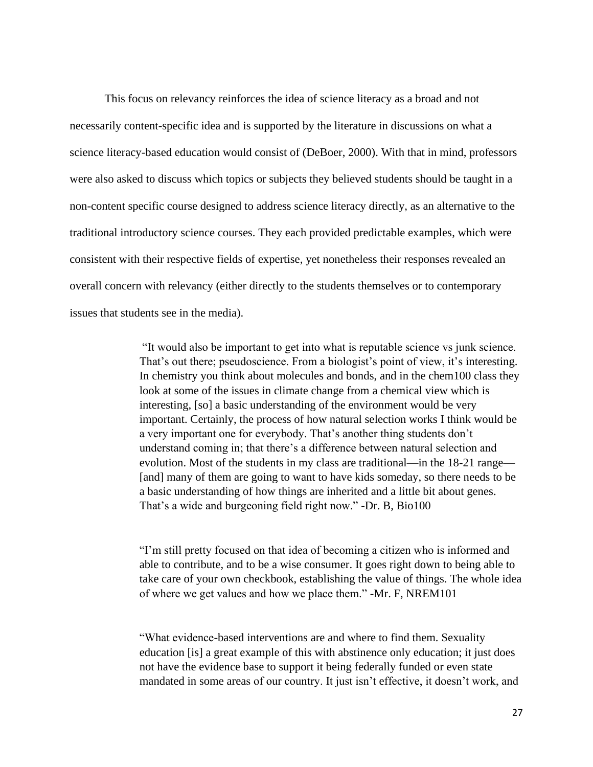This focus on relevancy reinforces the idea of science literacy as a broad and not necessarily content-specific idea and is supported by the literature in discussions on what a science literacy-based education would consist of (DeBoer, 2000). With that in mind, professors were also asked to discuss which topics or subjects they believed students should be taught in a non-content specific course designed to address science literacy directly, as an alternative to the traditional introductory science courses. They each provided predictable examples, which were consistent with their respective fields of expertise, yet nonetheless their responses revealed an overall concern with relevancy (either directly to the students themselves or to contemporary issues that students see in the media).

> "It would also be important to get into what is reputable science vs junk science. That's out there; pseudoscience. From a biologist's point of view, it's interesting. In chemistry you think about molecules and bonds, and in the chem100 class they look at some of the issues in climate change from a chemical view which is interesting, [so] a basic understanding of the environment would be very important. Certainly, the process of how natural selection works I think would be a very important one for everybody. That's another thing students don't understand coming in; that there's a difference between natural selection and evolution. Most of the students in my class are traditional—in the 18-21 range— [and] many of them are going to want to have kids someday, so there needs to be a basic understanding of how things are inherited and a little bit about genes. That's a wide and burgeoning field right now." -Dr. B, Bio100

> "I'm still pretty focused on that idea of becoming a citizen who is informed and able to contribute, and to be a wise consumer. It goes right down to being able to take care of your own checkbook, establishing the value of things. The whole idea of where we get values and how we place them." -Mr. F, NREM101

> "What evidence-based interventions are and where to find them. Sexuality education [is] a great example of this with abstinence only education; it just does not have the evidence base to support it being federally funded or even state mandated in some areas of our country. It just isn't effective, it doesn't work, and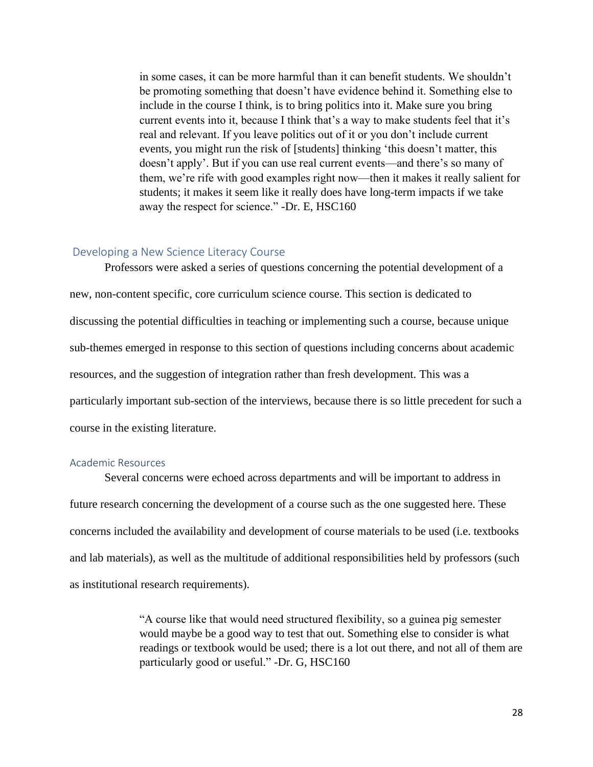in some cases, it can be more harmful than it can benefit students. We shouldn't be promoting something that doesn't have evidence behind it. Something else to include in the course I think, is to bring politics into it. Make sure you bring current events into it, because I think that's a way to make students feel that it's real and relevant. If you leave politics out of it or you don't include current events, you might run the risk of [students] thinking 'this doesn't matter, this doesn't apply'. But if you can use real current events—and there's so many of them, we're rife with good examples right now—then it makes it really salient for students; it makes it seem like it really does have long-term impacts if we take away the respect for science." -Dr. E, HSC160

### <span id="page-28-0"></span>Developing a New Science Literacy Course

Professors were asked a series of questions concerning the potential development of a new, non-content specific, core curriculum science course. This section is dedicated to discussing the potential difficulties in teaching or implementing such a course, because unique sub-themes emerged in response to this section of questions including concerns about academic resources, and the suggestion of integration rather than fresh development. This was a particularly important sub-section of the interviews, because there is so little precedent for such a course in the existing literature.

#### <span id="page-28-1"></span>Academic Resources

Several concerns were echoed across departments and will be important to address in future research concerning the development of a course such as the one suggested here. These concerns included the availability and development of course materials to be used (i.e. textbooks and lab materials), as well as the multitude of additional responsibilities held by professors (such as institutional research requirements).

> "A course like that would need structured flexibility, so a guinea pig semester would maybe be a good way to test that out. Something else to consider is what readings or textbook would be used; there is a lot out there, and not all of them are particularly good or useful." -Dr. G, HSC160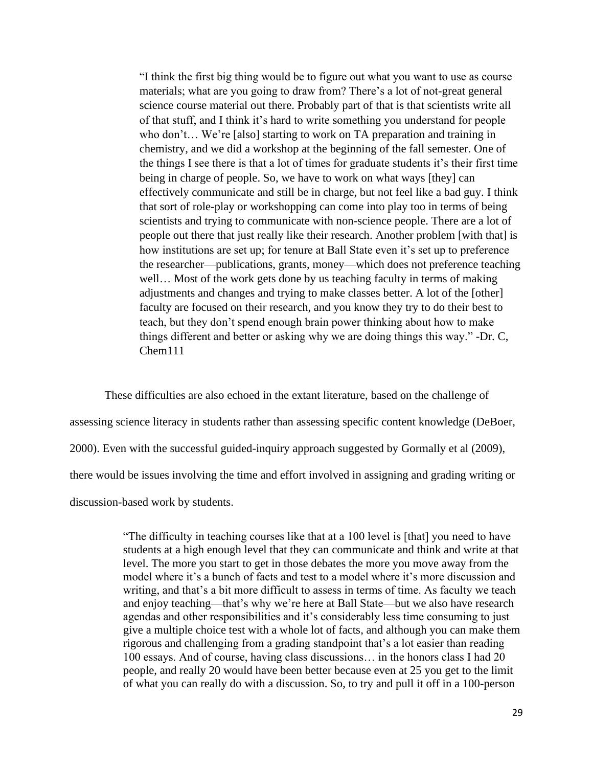"I think the first big thing would be to figure out what you want to use as course materials; what are you going to draw from? There's a lot of not-great general science course material out there. Probably part of that is that scientists write all of that stuff, and I think it's hard to write something you understand for people who don't... We're [also] starting to work on TA preparation and training in chemistry, and we did a workshop at the beginning of the fall semester. One of the things I see there is that a lot of times for graduate students it's their first time being in charge of people. So, we have to work on what ways [they] can effectively communicate and still be in charge, but not feel like a bad guy. I think that sort of role-play or workshopping can come into play too in terms of being scientists and trying to communicate with non-science people. There are a lot of people out there that just really like their research. Another problem [with that] is how institutions are set up; for tenure at Ball State even it's set up to preference the researcher—publications, grants, money—which does not preference teaching well... Most of the work gets done by us teaching faculty in terms of making adjustments and changes and trying to make classes better. A lot of the [other] faculty are focused on their research, and you know they try to do their best to teach, but they don't spend enough brain power thinking about how to make things different and better or asking why we are doing things this way." -Dr. C, Chem111

These difficulties are also echoed in the extant literature, based on the challenge of assessing science literacy in students rather than assessing specific content knowledge (DeBoer, 2000). Even with the successful guided-inquiry approach suggested by Gormally et al (2009), there would be issues involving the time and effort involved in assigning and grading writing or discussion-based work by students.

> "The difficulty in teaching courses like that at a 100 level is [that] you need to have students at a high enough level that they can communicate and think and write at that level. The more you start to get in those debates the more you move away from the model where it's a bunch of facts and test to a model where it's more discussion and writing, and that's a bit more difficult to assess in terms of time. As faculty we teach and enjoy teaching—that's why we're here at Ball State—but we also have research agendas and other responsibilities and it's considerably less time consuming to just give a multiple choice test with a whole lot of facts, and although you can make them rigorous and challenging from a grading standpoint that's a lot easier than reading 100 essays. And of course, having class discussions… in the honors class I had 20 people, and really 20 would have been better because even at 25 you get to the limit of what you can really do with a discussion. So, to try and pull it off in a 100-person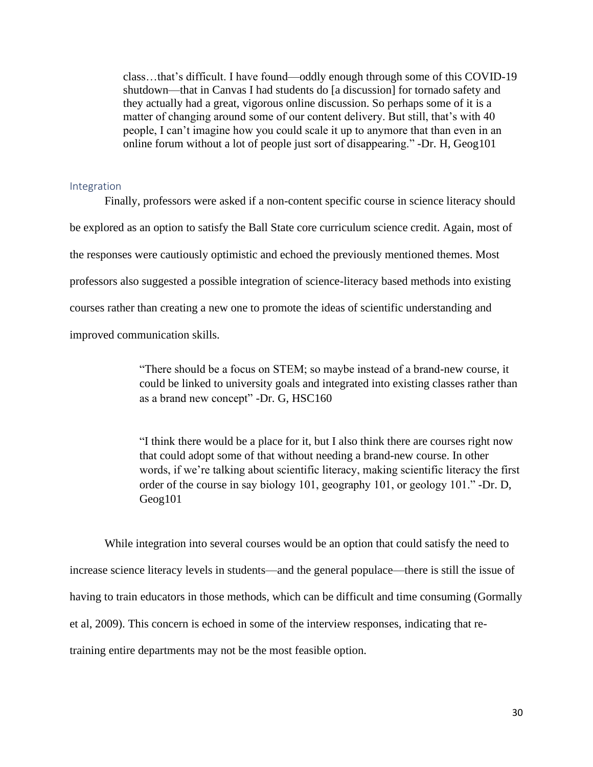class…that's difficult. I have found—oddly enough through some of this COVID-19 shutdown—that in Canvas I had students do [a discussion] for tornado safety and they actually had a great, vigorous online discussion. So perhaps some of it is a matter of changing around some of our content delivery. But still, that's with 40 people, I can't imagine how you could scale it up to anymore that than even in an online forum without a lot of people just sort of disappearing." -Dr. H, Geog101

#### <span id="page-30-0"></span>Integration

Finally, professors were asked if a non-content specific course in science literacy should be explored as an option to satisfy the Ball State core curriculum science credit. Again, most of the responses were cautiously optimistic and echoed the previously mentioned themes. Most professors also suggested a possible integration of science-literacy based methods into existing courses rather than creating a new one to promote the ideas of scientific understanding and improved communication skills.

> "There should be a focus on STEM; so maybe instead of a brand-new course, it could be linked to university goals and integrated into existing classes rather than as a brand new concept" -Dr. G, HSC160

> "I think there would be a place for it, but I also think there are courses right now that could adopt some of that without needing a brand-new course. In other words, if we're talking about scientific literacy, making scientific literacy the first order of the course in say biology 101, geography 101, or geology 101." -Dr. D, Geog101

While integration into several courses would be an option that could satisfy the need to increase science literacy levels in students—and the general populace—there is still the issue of having to train educators in those methods, which can be difficult and time consuming (Gormally et al, 2009). This concern is echoed in some of the interview responses, indicating that retraining entire departments may not be the most feasible option.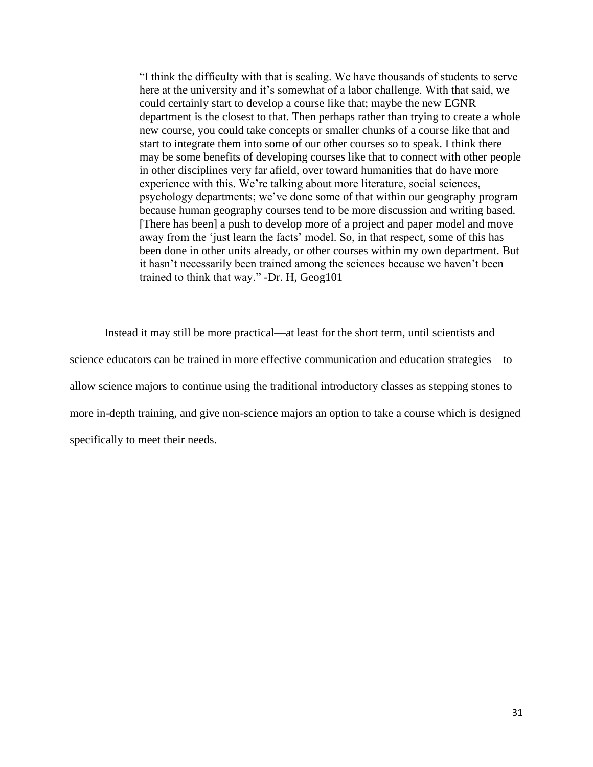"I think the difficulty with that is scaling. We have thousands of students to serve here at the university and it's somewhat of a labor challenge. With that said, we could certainly start to develop a course like that; maybe the new EGNR department is the closest to that. Then perhaps rather than trying to create a whole new course, you could take concepts or smaller chunks of a course like that and start to integrate them into some of our other courses so to speak. I think there may be some benefits of developing courses like that to connect with other people in other disciplines very far afield, over toward humanities that do have more experience with this. We're talking about more literature, social sciences, psychology departments; we've done some of that within our geography program because human geography courses tend to be more discussion and writing based. [There has been] a push to develop more of a project and paper model and move away from the 'just learn the facts' model. So, in that respect, some of this has been done in other units already, or other courses within my own department. But it hasn't necessarily been trained among the sciences because we haven't been trained to think that way." -Dr. H, Geog101

Instead it may still be more practical—at least for the short term, until scientists and science educators can be trained in more effective communication and education strategies—to allow science majors to continue using the traditional introductory classes as stepping stones to more in-depth training, and give non-science majors an option to take a course which is designed specifically to meet their needs.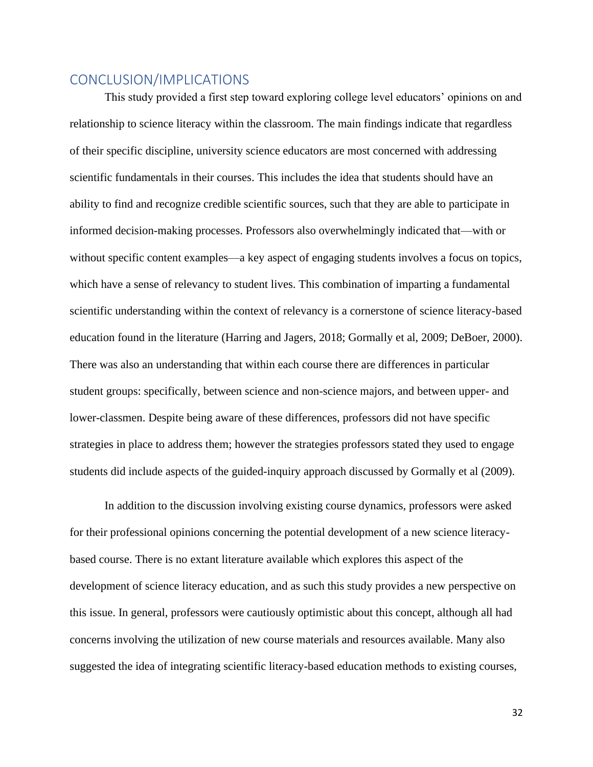# <span id="page-32-0"></span>CONCLUSION/IMPLICATIONS

This study provided a first step toward exploring college level educators' opinions on and relationship to science literacy within the classroom. The main findings indicate that regardless of their specific discipline, university science educators are most concerned with addressing scientific fundamentals in their courses. This includes the idea that students should have an ability to find and recognize credible scientific sources, such that they are able to participate in informed decision-making processes. Professors also overwhelmingly indicated that—with or without specific content examples—a key aspect of engaging students involves a focus on topics, which have a sense of relevancy to student lives. This combination of imparting a fundamental scientific understanding within the context of relevancy is a cornerstone of science literacy-based education found in the literature (Harring and Jagers, 2018; Gormally et al, 2009; DeBoer, 2000). There was also an understanding that within each course there are differences in particular student groups: specifically, between science and non-science majors, and between upper- and lower-classmen. Despite being aware of these differences, professors did not have specific strategies in place to address them; however the strategies professors stated they used to engage students did include aspects of the guided-inquiry approach discussed by Gormally et al (2009).

In addition to the discussion involving existing course dynamics, professors were asked for their professional opinions concerning the potential development of a new science literacybased course. There is no extant literature available which explores this aspect of the development of science literacy education, and as such this study provides a new perspective on this issue. In general, professors were cautiously optimistic about this concept, although all had concerns involving the utilization of new course materials and resources available. Many also suggested the idea of integrating scientific literacy-based education methods to existing courses,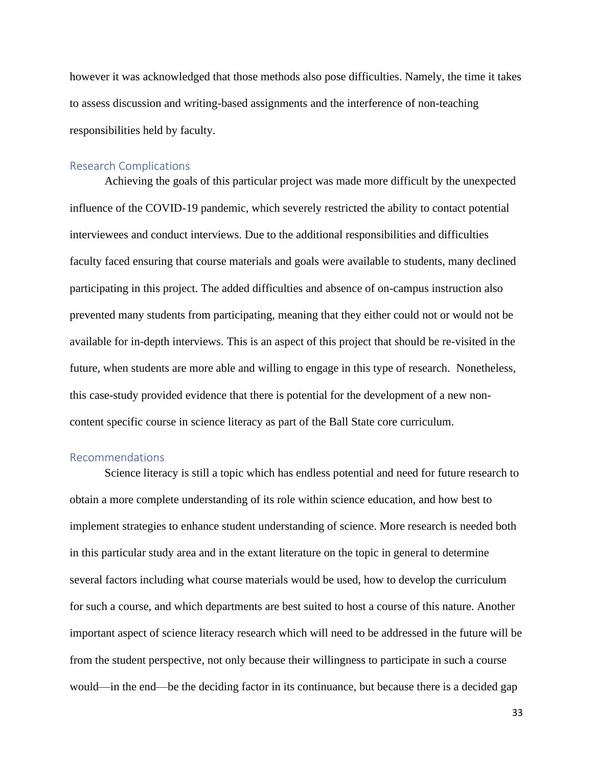however it was acknowledged that those methods also pose difficulties. Namely, the time it takes to assess discussion and writing-based assignments and the interference of non-teaching responsibilities held by faculty.

#### <span id="page-33-0"></span>Research Complications

Achieving the goals of this particular project was made more difficult by the unexpected influence of the COVID-19 pandemic, which severely restricted the ability to contact potential interviewees and conduct interviews. Due to the additional responsibilities and difficulties faculty faced ensuring that course materials and goals were available to students, many declined participating in this project. The added difficulties and absence of on-campus instruction also prevented many students from participating, meaning that they either could not or would not be available for in-depth interviews. This is an aspect of this project that should be re-visited in the future, when students are more able and willing to engage in this type of research. Nonetheless, this case-study provided evidence that there is potential for the development of a new noncontent specific course in science literacy as part of the Ball State core curriculum.

### <span id="page-33-1"></span>Recommendations

Science literacy is still a topic which has endless potential and need for future research to obtain a more complete understanding of its role within science education, and how best to implement strategies to enhance student understanding of science. More research is needed both in this particular study area and in the extant literature on the topic in general to determine several factors including what course materials would be used, how to develop the curriculum for such a course, and which departments are best suited to host a course of this nature. Another important aspect of science literacy research which will need to be addressed in the future will be from the student perspective, not only because their willingness to participate in such a course would—in the end—be the deciding factor in its continuance, but because there is a decided gap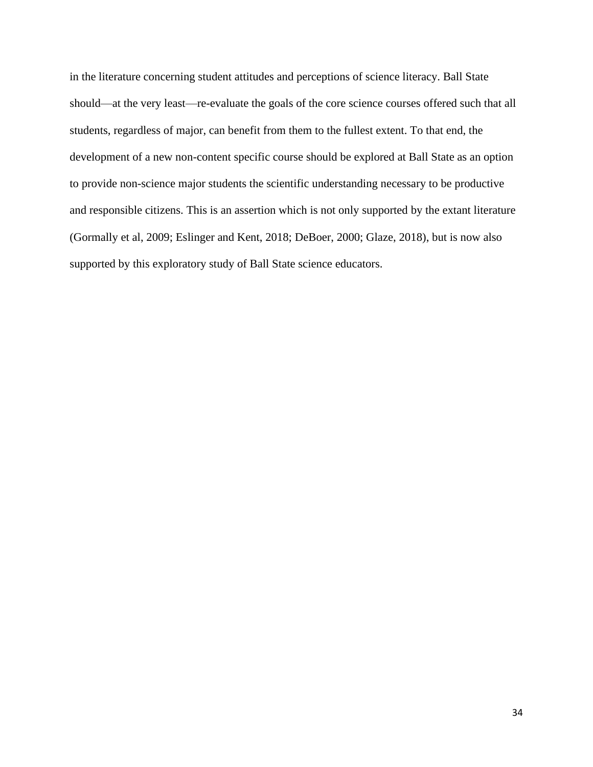in the literature concerning student attitudes and perceptions of science literacy. Ball State should—at the very least—re-evaluate the goals of the core science courses offered such that all students, regardless of major, can benefit from them to the fullest extent. To that end, the development of a new non-content specific course should be explored at Ball State as an option to provide non-science major students the scientific understanding necessary to be productive and responsible citizens. This is an assertion which is not only supported by the extant literature (Gormally et al, 2009; Eslinger and Kent, 2018; DeBoer, 2000; Glaze, 2018), but is now also supported by this exploratory study of Ball State science educators.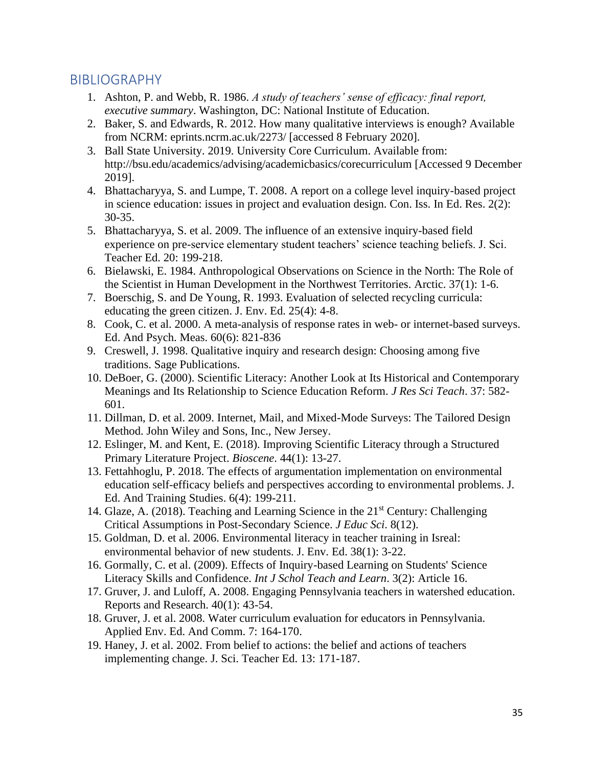# <span id="page-35-0"></span>BIBLIOGRAPHY

- 1. Ashton, P. and Webb, R. 1986. *A study of teachers' sense of efficacy: final report, executive summary*. Washington, DC: National Institute of Education.
- 2. Baker, S. and Edwards, R. 2012. How many qualitative interviews is enough? Available from NCRM: eprints.ncrm.ac.uk/2273/ [accessed 8 February 2020].
- 3. Ball State University. 2019. University Core Curriculum. Available from: <http://bsu.edu/academics/advising/academicbasics/corecurriculum> [Accessed 9 December 2019].
- 4. Bhattacharyya, S. and Lumpe, T. 2008. A report on a college level inquiry-based project in science education: issues in project and evaluation design. Con. Iss. In Ed. Res. 2(2): 30-35.
- 5. Bhattacharyya, S. et al. 2009. The influence of an extensive inquiry-based field experience on pre-service elementary student teachers' science teaching beliefs. J. Sci. Teacher Ed. 20: 199-218.
- 6. Bielawski, E. 1984. Anthropological Observations on Science in the North: The Role of the Scientist in Human Development in the Northwest Territories. Arctic. 37(1): 1-6.
- 7. Boerschig, S. and De Young, R. 1993. Evaluation of selected recycling curricula: educating the green citizen. J. Env. Ed. 25(4): 4-8.
- 8. Cook, C. et al. 2000. A meta-analysis of response rates in web- or internet-based surveys. Ed. And Psych. Meas. 60(6): 821-836
- 9. Creswell, J. 1998. Qualitative inquiry and research design: Choosing among five traditions. Sage Publications.
- 10. DeBoer, G. (2000). Scientific Literacy: Another Look at Its Historical and Contemporary Meanings and Its Relationship to Science Education Reform. *J Res Sci Teach*. 37: 582- 601.
- 11. Dillman, D. et al. 2009. Internet, Mail, and Mixed-Mode Surveys: The Tailored Design Method. John Wiley and Sons, Inc., New Jersey.
- 12. Eslinger, M. and Kent, E. (2018). Improving Scientific Literacy through a Structured Primary Literature Project. *Bioscene*. 44(1): 13-27.
- 13. Fettahhoglu, P. 2018. The effects of argumentation implementation on environmental education self-efficacy beliefs and perspectives according to environmental problems. J. Ed. And Training Studies. 6(4): 199-211.
- 14. Glaze, A. (2018). Teaching and Learning Science in the 21<sup>st</sup> Century: Challenging Critical Assumptions in Post-Secondary Science. *J Educ Sci*. 8(12).
- 15. Goldman, D. et al. 2006. Environmental literacy in teacher training in Isreal: environmental behavior of new students. J. Env. Ed. 38(1): 3-22.
- 16. Gormally, C. et al. (2009). Effects of Inquiry-based Learning on Students' Science Literacy Skills and Confidence. *Int J Schol Teach and Learn*. 3(2): Article 16.
- 17. Gruver, J. and Luloff, A. 2008. Engaging Pennsylvania teachers in watershed education. Reports and Research. 40(1): 43-54.
- 18. Gruver, J. et al. 2008. Water curriculum evaluation for educators in Pennsylvania. Applied Env. Ed. And Comm. 7: 164-170.
- 19. Haney, J. et al. 2002. From belief to actions: the belief and actions of teachers implementing change. J. Sci. Teacher Ed. 13: 171-187.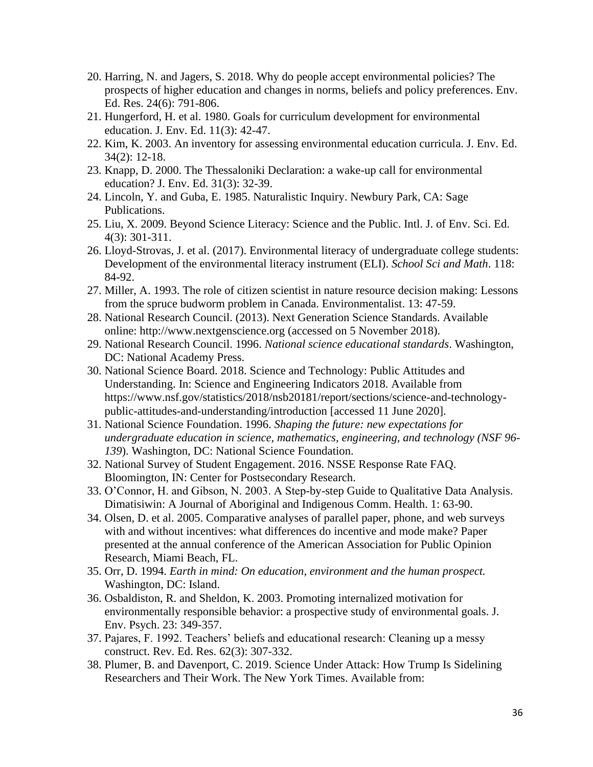- 20. Harring, N. and Jagers, S. 2018. Why do people accept environmental policies? The prospects of higher education and changes in norms, beliefs and policy preferences. Env. Ed. Res. 24(6): 791-806.
- 21. Hungerford, H. et al. 1980. Goals for curriculum development for environmental education. J. Env. Ed. 11(3): 42-47.
- 22. Kim, K. 2003. An inventory for assessing environmental education curricula. J. Env. Ed. 34(2): 12-18.
- 23. Knapp, D. 2000. The Thessaloniki Declaration: a wake-up call for environmental education? J. Env. Ed. 31(3): 32-39.
- 24. Lincoln, Y. and Guba, E. 1985. Naturalistic Inquiry. Newbury Park, CA: Sage Publications.
- 25. Liu, X. 2009. Beyond Science Literacy: Science and the Public. Intl. J. of Env. Sci. Ed. 4(3): 301-311.
- 26. Lloyd-Strovas, J. et al. (2017). Environmental literacy of undergraduate college students: Development of the environmental literacy instrument (ELI). *School Sci and Math*. 118: 84-92.
- 27. Miller, A. 1993. The role of citizen scientist in nature resource decision making: Lessons from the spruce budworm problem in Canada. Environmentalist. 13: 47-59.
- 28. National Research Council. (2013). Next Generation Science Standards. Available online: [http://www.nextgenscience.org](http://www.nextgenscience.org/) (accessed on 5 November 2018).
- 29. National Research Council. 1996. *National science educational standards*. Washington, DC: National Academy Press.
- 30. National Science Board. 2018. Science and Technology: Public Attitudes and Understanding. In: Science and Engineering Indicators 2018. Available from [https://www.nsf.gov/statistics/2018/nsb20181/report/sections/science-and-technology](https://www.nsf.gov/statistics/2018/nsb20181/report/sections/science-and-technology-public-attitudes-and-understanding/introduction)[public-attitudes-and-understanding/introduction](https://www.nsf.gov/statistics/2018/nsb20181/report/sections/science-and-technology-public-attitudes-and-understanding/introduction) [accessed 11 June 2020].
- 31. National Science Foundation. 1996. *Shaping the future: new expectations for undergraduate education in science, mathematics, engineering, and technology (NSF 96- 139*). Washington, DC: National Science Foundation.
- 32. National Survey of Student Engagement. 2016. NSSE Response Rate FAQ. Bloomington, IN: Center for Postsecondary Research.
- 33. O'Connor, H. and Gibson, N. 2003. A Step-by-step Guide to Qualitative Data Analysis. Dimatisiwin: A Journal of Aboriginal and Indigenous Comm. Health. 1: 63-90.
- 34. Olsen, D. et al. 2005. Comparative analyses of parallel paper, phone, and web surveys with and without incentives: what differences do incentive and mode make? Paper presented at the annual conference of the American Association for Public Opinion Research, Miami Beach, FL.
- 35. Orr, D. 1994. *Earth in mind: On education, environment and the human prospect.* Washington, DC: Island.
- 36. Osbaldiston, R. and Sheldon, K. 2003. Promoting internalized motivation for environmentally responsible behavior: a prospective study of environmental goals. J. Env. Psych. 23: 349-357.
- 37. Pajares, F. 1992. Teachers' beliefs and educational research: Cleaning up a messy construct. Rev. Ed. Res. 62(3): 307-332.
- 38. Plumer, B. and Davenport, C. 2019. Science Under Attack: How Trump Is Sidelining Researchers and Their Work. The New York Times. Available from: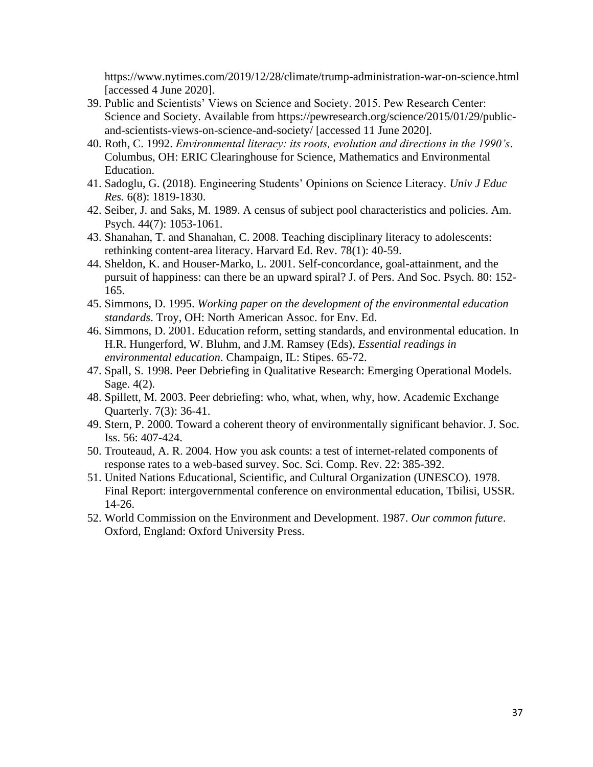<https://www.nytimes.com/2019/12/28/climate/trump-administration-war-on-science.html> [accessed 4 June 2020].

- 39. Public and Scientists' Views on Science and Society. 2015. Pew Research Center: Science and Society. Available from [https://pewresearch.org/science/2015/01/29/public](https://pewresearch.org/science/2015/01/29/public-and-scientists-views-on-science-and-society/)[and-scientists-views-on-science-and-society/](https://pewresearch.org/science/2015/01/29/public-and-scientists-views-on-science-and-society/) [accessed 11 June 2020].
- 40. Roth, C. 1992. *Environmental literacy: its roots, evolution and directions in the 1990's*. Columbus, OH: ERIC Clearinghouse for Science, Mathematics and Environmental Education.
- 41. Sadoglu, G. (2018). Engineering Students' Opinions on Science Literacy. *Univ J Educ Res.* 6(8): 1819-1830.
- 42. Seiber, J. and Saks, M. 1989. A census of subject pool characteristics and policies. Am. Psych. 44(7): 1053-1061.
- 43. Shanahan, T. and Shanahan, C. 2008. Teaching disciplinary literacy to adolescents: rethinking content-area literacy. Harvard Ed. Rev. 78(1): 40-59.
- 44. Sheldon, K. and Houser-Marko, L. 2001. Self-concordance, goal-attainment, and the pursuit of happiness: can there be an upward spiral? J. of Pers. And Soc. Psych. 80: 152- 165.
- 45. Simmons, D. 1995. *Working paper on the development of the environmental education standards*. Troy, OH: North American Assoc. for Env. Ed.
- 46. Simmons, D. 2001. Education reform, setting standards, and environmental education. In H.R. Hungerford, W. Bluhm, and J.M. Ramsey (Eds), *Essential readings in environmental education*. Champaign, IL: Stipes. 65-72.
- 47. Spall, S. 1998. Peer Debriefing in Qualitative Research: Emerging Operational Models. Sage. 4(2).
- 48. Spillett, M. 2003. Peer debriefing: who, what, when, why, how. Academic Exchange Quarterly. 7(3): 36-41.
- 49. Stern, P. 2000. Toward a coherent theory of environmentally significant behavior. J. Soc. Iss. 56: 407-424.
- 50. Trouteaud, A. R. 2004. How you ask counts: a test of internet-related components of response rates to a web-based survey. Soc. Sci. Comp. Rev. 22: 385-392.
- 51. United Nations Educational, Scientific, and Cultural Organization (UNESCO). 1978. Final Report: intergovernmental conference on environmental education, Tbilisi, USSR. 14-26.
- 52. World Commission on the Environment and Development. 1987. *Our common future*. Oxford, England: Oxford University Press.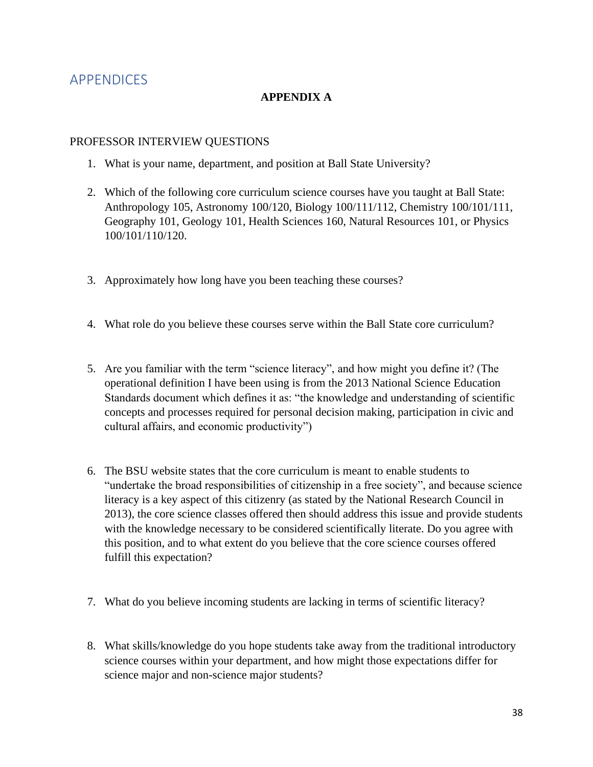# <span id="page-38-0"></span>APPENDICES

### **APPENDIX A**

### PROFESSOR INTERVIEW QUESTIONS

- 1. What is your name, department, and position at Ball State University?
- 2. Which of the following core curriculum science courses have you taught at Ball State: Anthropology 105, Astronomy 100/120, Biology 100/111/112, Chemistry 100/101/111, Geography 101, Geology 101, Health Sciences 160, Natural Resources 101, or Physics 100/101/110/120.
- 3. Approximately how long have you been teaching these courses?
- 4. What role do you believe these courses serve within the Ball State core curriculum?
- 5. Are you familiar with the term "science literacy", and how might you define it? (The operational definition I have been using is from the 2013 National Science Education Standards document which defines it as: "the knowledge and understanding of scientific concepts and processes required for personal decision making, participation in civic and cultural affairs, and economic productivity")
- 6. The BSU website states that the core curriculum is meant to enable students to "undertake the broad responsibilities of citizenship in a free society", and because science literacy is a key aspect of this citizenry (as stated by the National Research Council in 2013), the core science classes offered then should address this issue and provide students with the knowledge necessary to be considered scientifically literate. Do you agree with this position, and to what extent do you believe that the core science courses offered fulfill this expectation?
- 7. What do you believe incoming students are lacking in terms of scientific literacy?
- 8. What skills/knowledge do you hope students take away from the traditional introductory science courses within your department, and how might those expectations differ for science major and non-science major students?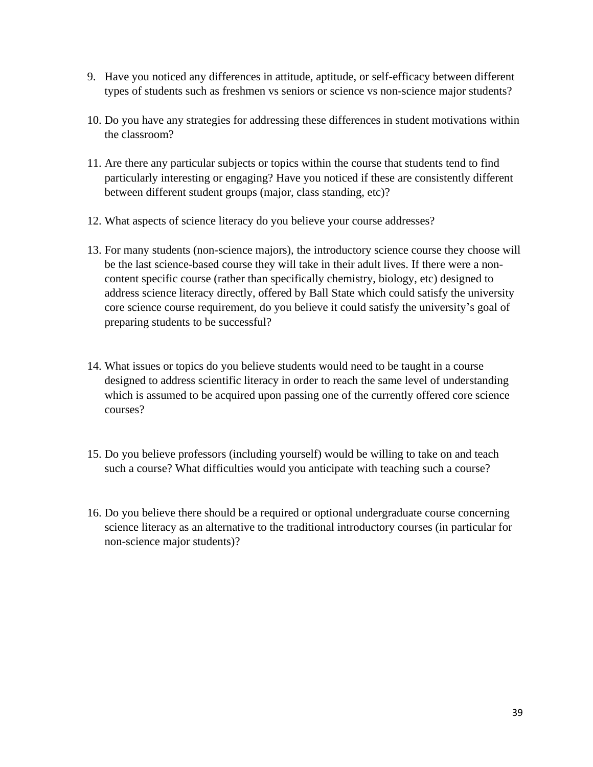- 9. Have you noticed any differences in attitude, aptitude, or self-efficacy between different types of students such as freshmen vs seniors or science vs non-science major students?
- 10. Do you have any strategies for addressing these differences in student motivations within the classroom?
- 11. Are there any particular subjects or topics within the course that students tend to find particularly interesting or engaging? Have you noticed if these are consistently different between different student groups (major, class standing, etc)?
- 12. What aspects of science literacy do you believe your course addresses?
- 13. For many students (non-science majors), the introductory science course they choose will be the last science-based course they will take in their adult lives. If there were a noncontent specific course (rather than specifically chemistry, biology, etc) designed to address science literacy directly, offered by Ball State which could satisfy the university core science course requirement, do you believe it could satisfy the university's goal of preparing students to be successful?
- 14. What issues or topics do you believe students would need to be taught in a course designed to address scientific literacy in order to reach the same level of understanding which is assumed to be acquired upon passing one of the currently offered core science courses?
- 15. Do you believe professors (including yourself) would be willing to take on and teach such a course? What difficulties would you anticipate with teaching such a course?
- 16. Do you believe there should be a required or optional undergraduate course concerning science literacy as an alternative to the traditional introductory courses (in particular for non-science major students)?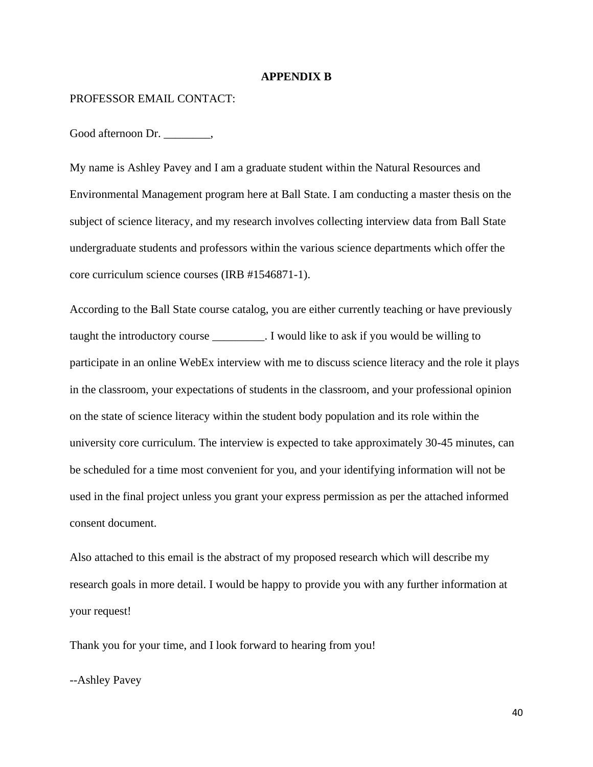#### **APPENDIX B**

#### PROFESSOR EMAIL CONTACT:

Good afternoon Dr.

My name is Ashley Pavey and I am a graduate student within the Natural Resources and Environmental Management program here at Ball State. I am conducting a master thesis on the subject of science literacy, and my research involves collecting interview data from Ball State undergraduate students and professors within the various science departments which offer the core curriculum science courses (IRB #1546871-1).

According to the Ball State course catalog, you are either currently teaching or have previously taught the introductory course . I would like to ask if you would be willing to participate in an online WebEx interview with me to discuss science literacy and the role it plays in the classroom, your expectations of students in the classroom, and your professional opinion on the state of science literacy within the student body population and its role within the university core curriculum. The interview is expected to take approximately 30-45 minutes, can be scheduled for a time most convenient for you, and your identifying information will not be used in the final project unless you grant your express permission as per the attached informed consent document.

Also attached to this email is the abstract of my proposed research which will describe my research goals in more detail. I would be happy to provide you with any further information at your request!

Thank you for your time, and I look forward to hearing from you!

--Ashley Pavey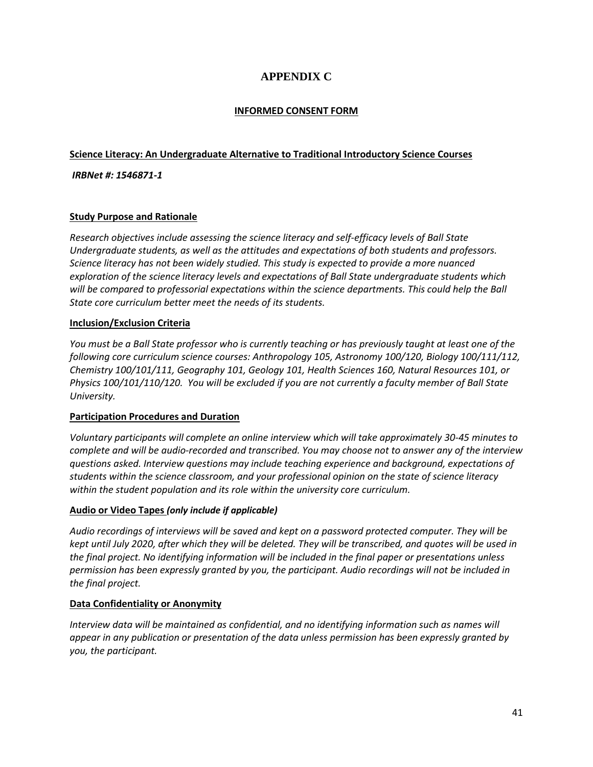## **APPENDIX C**

### **INFORMED CONSENT FORM**

### **Science Literacy: An Undergraduate Alternative to Traditional Introductory Science Courses**

### *IRBNet #: 1546871-1*

### **Study Purpose and Rationale**

*Research objectives include assessing the science literacy and self-efficacy levels of Ball State Undergraduate students, as well as the attitudes and expectations of both students and professors. Science literacy has not been widely studied. This study is expected to provide a more nuanced exploration of the science literacy levels and expectations of Ball State undergraduate students which will be compared to professorial expectations within the science departments. This could help the Ball State core curriculum better meet the needs of its students.*

### **Inclusion/Exclusion Criteria**

*You must be a Ball State professor who is currently teaching or has previously taught at least one of the following core curriculum science courses: Anthropology 105, Astronomy 100/120, Biology 100/111/112, Chemistry 100/101/111, Geography 101, Geology 101, Health Sciences 160, Natural Resources 101, or Physics 100/101/110/120. You will be excluded if you are not currently a faculty member of Ball State University.*

### **Participation Procedures and Duration**

*Voluntary participants will complete an online interview which will take approximately 30-45 minutes to complete and will be audio-recorded and transcribed. You may choose not to answer any of the interview questions asked. Interview questions may include teaching experience and background, expectations of students within the science classroom, and your professional opinion on the state of science literacy within the student population and its role within the university core curriculum.*

### **Audio or Video Tapes** *(only include if applicable)*

*Audio recordings of interviews will be saved and kept on a password protected computer. They will be kept until July 2020, after which they will be deleted. They will be transcribed, and quotes will be used in the final project. No identifying information will be included in the final paper or presentations unless permission has been expressly granted by you, the participant. Audio recordings will not be included in the final project.*

### **Data Confidentiality or Anonymity**

*Interview data will be maintained as confidential, and no identifying information such as names will appear in any publication or presentation of the data unless permission has been expressly granted by you, the participant.*